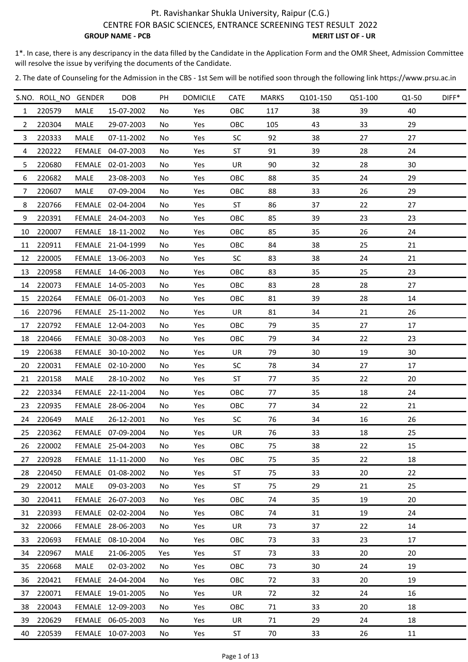CENTRE FOR BASIC SCIENCES, ENTRANCE SCREENING TEST RESULT 2022

**GROUP NAME - PCB** MERIT LIST OF - UR

1\*. In case, there is any descripancy in the data filled by the Candidate in the Application Form and the OMR Sheet, Admission Committee will resolve the issue by verifying the documents of the Candidate.

|                | S.NO. ROLL NO GENDER |               | DOB               | PH  | <b>DOMICILE</b> | <b>CATE</b> | <b>MARKS</b> | Q101-150 | Q51-100 | Q1-50 | DIFF* |
|----------------|----------------------|---------------|-------------------|-----|-----------------|-------------|--------------|----------|---------|-------|-------|
| $\mathbf{1}$   | 220579               | MALE          | 15-07-2002        | No  | Yes             | OBC         | 117          | 38       | 39      | 40    |       |
| $\overline{2}$ | 220304               | MALE          | 29-07-2003        | No  | Yes             | OBC         | 105          | 43       | 33      | 29    |       |
| $\mathbf{3}$   | 220333               | MALE          | 07-11-2002        | No  | Yes             | <b>SC</b>   | 92           | 38       | 27      | 27    |       |
| 4              | 220222               |               | FEMALE 04-07-2003 | No  | Yes             | ST          | 91           | 39       | 28      | 24    |       |
| 5              | 220680               | <b>FEMALE</b> | 02-01-2003        | No  | Yes             | UR          | 90           | 32       | 28      | 30    |       |
| 6              | 220682               | MALE          | 23-08-2003        | No  | Yes             | OBC         | 88           | 35       | 24      | 29    |       |
| 7              | 220607               | MALE          | 07-09-2004        | No  | Yes             | OBC         | 88           | 33       | 26      | 29    |       |
| 8              | 220766               |               | FEMALE 02-04-2004 | No  | Yes             | ST          | 86           | 37       | 22      | 27    |       |
| 9              | 220391               |               | FEMALE 24-04-2003 | No. | Yes             | OBC         | 85           | 39       | 23      | 23    |       |
| 10             | 220007               |               | FEMALE 18-11-2002 | No  | Yes             | OBC         | 85           | 35       | 26      | 24    |       |
|                | 11 220911            |               | FEMALE 21-04-1999 | No  | Yes             | OBC         | 84           | 38       | 25      | 21    |       |
| 12             | 220005               |               | FEMALE 13-06-2003 | No  | Yes             | <b>SC</b>   | 83           | 38       | 24      | 21    |       |
|                | 13 220958            |               | FEMALE 14-06-2003 | No  | Yes             | OBC         | 83           | 35       | 25      | 23    |       |
| 14             | 220073               |               | FEMALE 14-05-2003 | No  | Yes             | OBC         | 83           | 28       | 28      | 27    |       |
| 15             | 220264               |               | FEMALE 06-01-2003 | No  | Yes             | OBC         | 81           | 39       | 28      | 14    |       |
|                | 16 220796            |               | FEMALE 25-11-2002 | No  | Yes             | UR          | 81           | 34       | 21      | 26    |       |
| 17             | 220792               |               | FEMALE 12-04-2003 | No  | Yes             | OBC         | 79           | 35       | 27      | 17    |       |
|                | 18 220466            |               | FEMALE 30-08-2003 | No  | Yes             | OBC         | 79           | 34       | 22      | 23    |       |
| 19             | 220638               |               | FEMALE 30-10-2002 | No  | Yes             | UR          | 79           | 30       | 19      | 30    |       |
|                | 20 220031            |               | FEMALE 02-10-2000 | No  | Yes             | <b>SC</b>   | 78           | 34       | 27      | 17    |       |
| 21             | 220158               | MALE          | 28-10-2002        | No  | Yes             | ST          | 77           | 35       | 22      | 20    |       |
| 22             | 220334               |               | FEMALE 22-11-2004 | No  | Yes             | OBC         | 77           | 35       | 18      | 24    |       |
|                | 23 220935            |               | FEMALE 28-06-2004 | No  | Yes             | OBC         | 77           | 34       | 22      | 21    |       |
|                | 24 220649            | MALE          | 26-12-2001        | No  | Yes             | <b>SC</b>   | 76           | 34       | 16      | 26    |       |
|                | 25 220362            |               | FEMALE 07-09-2004 | No  | Yes             | UR          | 76           | 33       | 18      | 25    |       |
| 26             | 220002               |               | FEMALE 25-04-2003 | No  | Yes             | OBC         | 75           | 38       | 22      | 15    |       |
| 27             | 220928               |               | FEMALE 11-11-2000 | No  | Yes             | OBC         | 75           | 35       | 22      | 18    |       |
| 28             | 220450               |               | FEMALE 01-08-2002 | No. | Yes             | ST          | 75           | 33       | 20      | 22    |       |
| 29             | 220012               | MALE          | 09-03-2003        | No  | Yes             | ST          | 75           | 29       | 21      | 25    |       |
| 30             | 220411               | <b>FEMALE</b> | 26-07-2003        | No. | Yes             | OBC         | 74           | 35       | 19      | 20    |       |
| 31             | 220393               |               | FEMALE 02-02-2004 | No  | Yes             | OBC         | 74           | 31       | 19      | 24    |       |
| 32             | 220066               |               | FEMALE 28-06-2003 | No  | Yes             | UR          | 73           | 37       | 22      | 14    |       |
| 33             | 220693               |               | FEMALE 08-10-2004 | No  | Yes             | OBC         | 73           | 33       | 23      | 17    |       |
| 34             | 220967               | MALE          | 21-06-2005        | Yes | Yes             | <b>ST</b>   | 73           | 33       | 20      | 20    |       |
| 35             | 220668               | MALE          | 02-03-2002        | No. | Yes             | OBC         | 73           | 30       | 24      | 19    |       |
| 36             | 220421               |               | FEMALE 24-04-2004 | No  | Yes             | OBC         | 72           | 33       | 20      | 19    |       |
| 37             | 220071               |               | FEMALE 19-01-2005 | No  | Yes             | UR          | 72           | 32       | 24      | 16    |       |
| 38             | 220043               |               | FEMALE 12-09-2003 | No  | Yes             | OBC         | 71           | 33       | 20      | 18    |       |
| 39             | 220629               |               | FEMALE 06-05-2003 | No  | Yes             | UR          | 71           | 29       | 24      | 18    |       |
| 40             | 220539               |               | FEMALE 10-07-2003 | No  | Yes             | <b>ST</b>   | 70           | 33       | 26      | 11    |       |
|                |                      |               |                   |     |                 |             |              |          |         |       |       |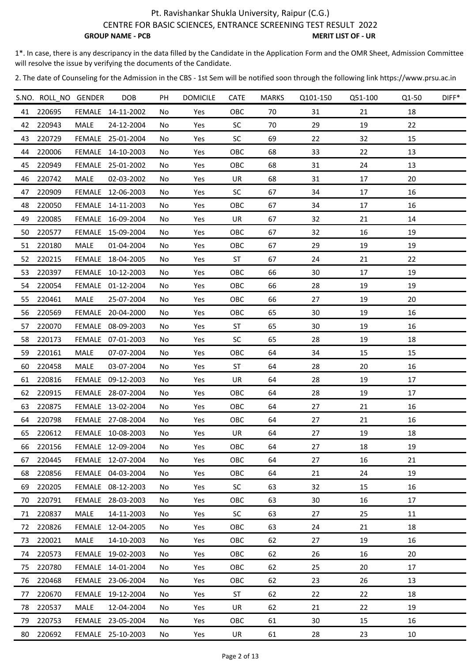CENTRE FOR BASIC SCIENCES, ENTRANCE SCREENING TEST RESULT 2022

**GROUP NAME - PCB** MERIT LIST OF - UR

1\*. In case, there is any descripancy in the data filled by the Candidate in the Application Form and the OMR Sheet, Admission Committee will resolve the issue by verifying the documents of the Candidate.

|    | S.NO. ROLL NO GENDER |               | <b>DOB</b>        | PH  | <b>DOMICILE</b> | <b>CATE</b> | <b>MARKS</b> | Q101-150 | Q51-100 | Q1-50 | DIFF* |
|----|----------------------|---------------|-------------------|-----|-----------------|-------------|--------------|----------|---------|-------|-------|
|    | 41 220695            |               | FEMALE 14-11-2002 | No. | Yes             | OBC         | 70           | 31       | 21      | 18    |       |
|    | 42 220943            | MALE          | 24-12-2004        | No  | Yes             | <b>SC</b>   | 70           | 29       | 19      | 22    |       |
|    | 43 220729            |               | FEMALE 25-01-2004 | No  | Yes             | <b>SC</b>   | 69           | 22       | 32      | 15    |       |
|    | 44 220006            |               | FEMALE 14-10-2003 | No. | Yes             | OBC         | 68           | 33       | 22      | 13    |       |
|    | 45 220949            | <b>FEMALE</b> | 25-01-2002        | No. | Yes             | OBC         | 68           | 31       | 24      | 13    |       |
|    | 46 220742            | MALE          | 02-03-2002        | No. | Yes             | UR          | 68           | 31       | 17      | 20    |       |
| 47 | 220909               |               | FEMALE 12-06-2003 | No  | Yes             | <b>SC</b>   | 67           | 34       | 17      | 16    |       |
|    | 48 220050            |               | FEMALE 14-11-2003 | No. | Yes             | OBC         | 67           | 34       | 17      | 16    |       |
| 49 | 220085               |               | FEMALE 16-09-2004 | No  | Yes             | UR          | 67           | 32       | 21      | 14    |       |
| 50 | 220577               |               | FEMALE 15-09-2004 | No. | Yes             | OBC         | 67           | 32       | 16      | 19    |       |
|    | 51 220180            | MALE          | 01-04-2004        | No. | Yes             | OBC         | 67           | 29       | 19      | 19    |       |
|    | 52 220215            |               | FEMALE 18-04-2005 | No. | Yes             | <b>ST</b>   | 67           | 24       | 21      | 22    |       |
|    | 53 220397            |               | FEMALE 10-12-2003 | No  | Yes             | OBC         | 66           | 30       | 17      | 19    |       |
|    | 54 220054            |               | FEMALE 01-12-2004 | No. | Yes             | OBC         | 66           | 28       | 19      | 19    |       |
|    | 55 220461            | MALE          | 25-07-2004        | No  | Yes             | OBC         | 66           | 27       | 19      | 20    |       |
| 56 | 220569               |               | FEMALE 20-04-2000 | No  | Yes             | OBC         | 65           | 30       | 19      | 16    |       |
|    | 57 220070            |               | FEMALE 08-09-2003 | No. | Yes             | <b>ST</b>   | 65           | 30       | 19      | 16    |       |
|    | 58 220173            |               | FEMALE 07-01-2003 | No. | Yes             | <b>SC</b>   | 65           | 28       | 19      | 18    |       |
| 59 | 220161               | MALE          | 07-07-2004        | No. | Yes             | OBC         | 64           | 34       | 15      | 15    |       |
|    | 60 220458            | MALE          | 03-07-2004        | No. | Yes             | ST          | 64           | 28       | 20      | 16    |       |
|    | 61 220816            |               | FEMALE 09-12-2003 | No  | Yes             | UR          | 64           | 28       | 19      | 17    |       |
|    | 62 220915            |               | FEMALE 28-07-2004 | No  | Yes             | OBC         | 64           | 28       | 19      | 17    |       |
|    | 63 220875            |               | FEMALE 13-02-2004 | No. | Yes             | OBC         | 64           | 27       | 21      | 16    |       |
|    | 64 220798            |               | FEMALE 27-08-2004 | No. | Yes             | OBC         | 64           | 27       | 21      | 16    |       |
|    | 65 220612            |               | FEMALE 10-08-2003 | No  | Yes             | UR          | 64           | 27       | 19      | 18    |       |
| 66 | 220156               |               | FEMALE 12-09-2004 | No. | Yes             | OBC         | 64           | 27       | 18      | 19    |       |
| 67 | 220445               |               | FEMALE 12-07-2004 | No  | Yes             | OBC         | 64           | 27       | 16      | 21    |       |
| 68 | 220856               |               | FEMALE 04-03-2004 | No  | Yes             | OBC         | 64           | 21       | 24      | 19    |       |
| 69 | 220205               |               | FEMALE 08-12-2003 | No. | Yes             | SC          | 63           | 32       | 15      | 16    |       |
| 70 | 220791               | <b>FEMALE</b> | 28-03-2003        | No. | Yes             | OBC         | 63           | 30       | 16      | 17    |       |
| 71 | 220837               | MALE          | 14-11-2003        | No. | Yes             | <b>SC</b>   | 63           | 27       | 25      | 11    |       |
| 72 | 220826               | <b>FEMALE</b> | 12-04-2005        | No  | Yes             | OBC         | 63           | 24       | 21      | 18    |       |
| 73 | 220021               | MALE          | 14-10-2003        | No  | Yes             | OBC         | 62           | 27       | 19      | 16    |       |
| 74 | 220573               |               | FEMALE 19-02-2003 | No  | Yes             | OBC         | 62           | 26       | 16      | 20    |       |
| 75 | 220780               |               | FEMALE 14-01-2004 | No  | Yes             | OBC         | 62           | 25       | 20      | 17    |       |
| 76 | 220468               |               | FEMALE 23-06-2004 | No. | Yes             | OBC         | 62           | 23       | 26      | 13    |       |
| 77 | 220670               | <b>FEMALE</b> | 19-12-2004        | No. | Yes             | ST          | 62           | 22       | 22      | 18    |       |
| 78 | 220537               | MALE          | 12-04-2004        | No  | Yes             | UR          | 62           | 21       | 22      | 19    |       |
| 79 | 220753               | FEMALE        | 23-05-2004        | No. | Yes             | OBC         | 61           | 30       | 15      | 16    |       |
|    |                      |               |                   |     |                 |             |              |          |         |       |       |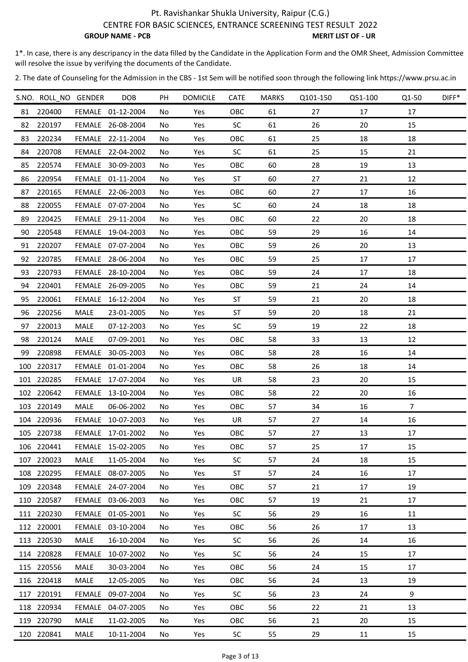CENTRE FOR BASIC SCIENCES, ENTRANCE SCREENING TEST RESULT 2022

**GROUP NAME - PCB** MERIT LIST OF - UR

1\*. In case, there is any descripancy in the data filled by the Candidate in the Application Form and the OMR Sheet, Admission Committee will resolve the issue by verifying the documents of the Candidate.

|    | S.NO. ROLL NO GENDER |               | <b>DOB</b>        | PH  | <b>DOMICILE</b> | <b>CATE</b> | <b>MARKS</b> | Q101-150 | Q51-100 | Q1-50          | DIFF* |
|----|----------------------|---------------|-------------------|-----|-----------------|-------------|--------------|----------|---------|----------------|-------|
|    | 81 220400            |               | FEMALE 01-12-2004 | No. | Yes             | OBC         | 61           | 27       | 17      | 17             |       |
|    | 82 220197            |               | FEMALE 26-08-2004 | No  | Yes             | <b>SC</b>   | 61           | 26       | 20      | 15             |       |
|    | 83 220234            |               | FEMALE 22-11-2004 | No  | Yes             | OBC         | 61           | 25       | 18      | 18             |       |
|    | 84 220708            |               | FEMALE 22-04-2002 | No. | Yes             | <b>SC</b>   | 61           | 25       | 15      | 21             |       |
|    | 85 220574            |               | FEMALE 30-09-2003 | No. | Yes             | OBC         | 60           | 28       | 19      | 13             |       |
| 86 | 220954               |               | FEMALE 01-11-2004 | No. | Yes             | <b>ST</b>   | 60           | 27       | 21      | 12             |       |
| 87 | 220165               |               | FEMALE 22-06-2003 | No. | Yes             | OBC         | 60           | 27       | 17      | 16             |       |
| 88 | 220055               |               | FEMALE 07-07-2004 | No. | Yes             | <b>SC</b>   | 60           | 24       | 18      | 18             |       |
| 89 | 220425               |               | FEMALE 29-11-2004 | No  | Yes             | OBC         | 60           | 22       | 20      | 18             |       |
| 90 | 220548               |               | FEMALE 19-04-2003 | No. | Yes             | OBC         | 59           | 29       | 16      | 14             |       |
|    | 91 220207            |               | FEMALE 07-07-2004 | No. | Yes             | OBC         | 59           | 26       | 20      | 13             |       |
|    | 92 220785            |               | FEMALE 28-06-2004 | No. | Yes             | OBC         | 59           | 25       | 17      | 17             |       |
|    | 93 220793            |               | FEMALE 28-10-2004 | No. | Yes             | OBC         | 59           | 24       | 17      | 18             |       |
|    | 94 220401            |               | FEMALE 26-09-2005 | No. | Yes             | OBC         | 59           | 21       | 24      | 14             |       |
|    | 95 220061            |               | FEMALE 16-12-2004 | No  | Yes             | <b>ST</b>   | 59           | 21       | 20      | 18             |       |
| 96 | 220256               | MALE          | 23-01-2005        | No  | Yes             | <b>ST</b>   | 59           | 20       | 18      | 21             |       |
|    | 97 220013            | MALE          | 07-12-2003        | No. | Yes             | <b>SC</b>   | 59           | 19       | 22      | 18             |       |
|    | 98 220124            | MALE          | 07-09-2001        | No. | Yes             | OBC         | 58           | 33       | 13      | 12             |       |
|    | 99 220898            | FEMALE        | 30-05-2003        | No. | Yes             | OBC         | 58           | 28       | 16      | 14             |       |
|    | 100 220317           |               | FEMALE 01-01-2004 | No. | Yes             | OBC         | 58           | 26       | 18      | 14             |       |
|    | 101 220285           |               | FEMALE 17-07-2004 | No. | Yes             | UR          | 58           | 23       | 20      | 15             |       |
|    | 102 220642           |               | FEMALE 13-10-2004 | No  | Yes             | OBC         | 58           | 22       | 20      | 16             |       |
|    | 103 220149           | MALE          | 06-06-2002        | No. | Yes             | OBC         | 57           | 34       | 16      | $\overline{7}$ |       |
|    | 104 220936           |               | FEMALE 10-07-2003 | No. | Yes             | UR          | 57           | 27       | 14      | 16             |       |
|    | 105 220738           |               | FEMALE 17-01-2002 | No  | Yes             | OBC         | 57           | 27       | 13      | 17             |       |
|    | 106 220441           |               | FEMALE 15-02-2005 | No. | Yes             | OBC         | 57           | 25       | 17      | 15             |       |
|    | 107 220023           | MALE          | 11-05-2004        | No  | Yes             | <b>SC</b>   | 57           | 24       | 18      | 15             |       |
|    | 108 220295           |               | FEMALE 08-07-2005 | No  | Yes             | <b>ST</b>   | 57           | 24       | 16      | 17             |       |
|    | 109 220348           |               | FEMALE 24-07-2004 | No. | Yes             | OBC         | 57           | 21       | 17      | 19             |       |
|    | 110 220587           |               | FEMALE 03-06-2003 | No. | Yes             | OBC         | 57           | 19       | 21      | 17             |       |
|    | 111 220230           |               | FEMALE 01-05-2001 | No. | Yes             | <b>SC</b>   | 56           | 29       | 16      | 11             |       |
|    | 112 220001           | <b>FEMALE</b> | 03-10-2004        | No  | Yes             | OBC         | 56           | 26       | 17      | 13             |       |
|    | 113 220530           | MALE          | 16-10-2004        | No  | Yes             | <b>SC</b>   | 56           | 26       | 14      | 16             |       |
|    | 114 220828           | FEMALE        | 10-07-2002        | No  | Yes             | <b>SC</b>   | 56           | 24       | 15      | 17             |       |
|    | 115 220556           | MALE          | 30-03-2004        | No  | Yes             | OBC         | 56           | 24       | 15      | 17             |       |
|    | 116 220418           | MALE          | 12-05-2005        | No. | Yes             | OBC         | 56           | 24       | 13      | 19             |       |
|    | 117 220191           | FEMALE        | 09-07-2004        | No. | Yes             | <b>SC</b>   | 56           | 23       | 24      | 9              |       |
|    | 118 220934           |               | FEMALE 04-07-2005 | No. | Yes             | OBC         | 56           | 22       | 21      | 13             |       |
|    | 119 220790           | MALE          | 11-02-2005        | No. | Yes             | OBC         | 56           | 21       | 20      | 15             |       |
|    | 120 220841           | MALE          | 10-11-2004        | No  | Yes             | <b>SC</b>   | 55           | 29       | 11      | 15             |       |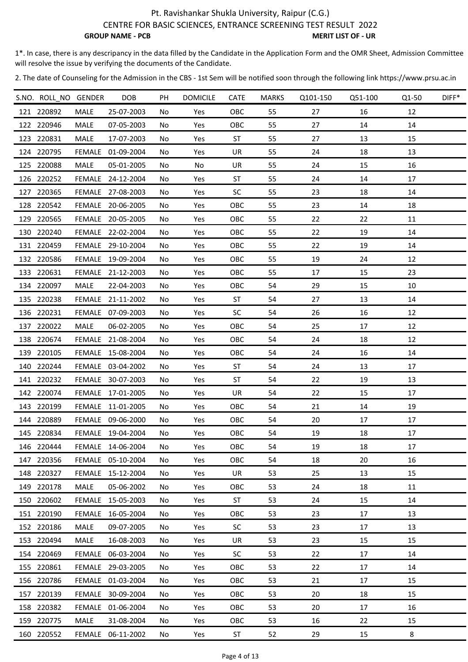CENTRE FOR BASIC SCIENCES, ENTRANCE SCREENING TEST RESULT 2022

**GROUP NAME - PCB** MERIT LIST OF - UR

1\*. In case, there is any descripancy in the data filled by the Candidate in the Application Form and the OMR Sheet, Admission Committee will resolve the issue by verifying the documents of the Candidate.

| S.NO. ROLL NO GENDER |               | <b>DOB</b>        | PH  | <b>DOMICILE</b> | <b>CATE</b> | MARKS | Q101-150 | Q51-100 | Q1-50 | DIFF* |
|----------------------|---------------|-------------------|-----|-----------------|-------------|-------|----------|---------|-------|-------|
| 121 220892           | MALE          | 25-07-2003        | No. | Yes             | OBC         | 55    | 27       | 16      | 12    |       |
| 122 220946           | MALE          | 07-05-2003        | No. | Yes             | OBC         | 55    | 27       | 14      | 14    |       |
| 123 220831           | MALE          | 17-07-2003        | No  | Yes             | <b>ST</b>   | 55    | 27       | 13      | 15    |       |
| 124 220795           | FEMALE        | 01-09-2004        | No  | Yes             | UR          | 55    | 24       | 18      | 13    |       |
| 125 220088           | MALE          | 05-01-2005        | No. | No              | UR          | 55    | 24       | 15      | 16    |       |
| 126 220252           |               | FEMALE 24-12-2004 | No  | Yes             | <b>ST</b>   | 55    | 24       | 14      | 17    |       |
| 127 220365           |               | FEMALE 27-08-2003 | No  | Yes             | SC          | 55    | 23       | 18      | 14    |       |
| 128 220542           |               | FEMALE 20-06-2005 | No  | Yes             | OBC         | 55    | 23       | 14      | 18    |       |
| 129 220565           |               | FEMALE 20-05-2005 | No  | Yes             | OBC         | 55    | 22       | 22      | 11    |       |
| 130 220240           |               | FEMALE 22-02-2004 | No  | Yes             | OBC         | 55    | 22       | 19      | 14    |       |
| 131 220459           |               | FEMALE 29-10-2004 | No. | Yes             | OBC         | 55    | 22       | 19      | 14    |       |
| 132 220586           |               | FEMALE 19-09-2004 | No  | Yes             | OBC         | 55    | 19       | 24      | 12    |       |
| 133 220631           |               | FEMALE 21-12-2003 | No  | Yes             | OBC         | 55    | 17       | 15      | 23    |       |
| 134 220097           | MALE          | 22-04-2003        | No. | Yes             | OBC         | 54    | 29       | 15      | 10    |       |
| 135 220238           |               | FEMALE 21-11-2002 | No  | Yes             | <b>ST</b>   | 54    | 27       | 13      | 14    |       |
| 136 220231           |               | FEMALE 07-09-2003 | No. | Yes             | SC          | 54    | 26       | 16      | 12    |       |
| 137 220022           | MALE          | 06-02-2005        | No. | Yes             | OBC         | 54    | 25       | 17      | 12    |       |
| 138 220674           |               | FEMALE 21-08-2004 | No  | Yes             | OBC         | 54    | 24       | 18      | 12    |       |
| 139 220105           |               | FEMALE 15-08-2004 | No  | Yes             | OBC         | 54    | 24       | 16      | 14    |       |
| 140 220244           |               | FEMALE 03-04-2002 | No  | Yes             | <b>ST</b>   | 54    | 24       | 13      | 17    |       |
| 141 220232           |               | FEMALE 30-07-2003 | No. | Yes             | <b>ST</b>   | 54    | 22       | 19      | 13    |       |
| 142 220074           |               | FEMALE 17-01-2005 | No  | Yes             | UR          | 54    | 22       | 15      | 17    |       |
| 143 220199           |               | FEMALE 11-01-2005 | No. | Yes             | OBC         | 54    | 21       | 14      | 19    |       |
| 144 220889           |               | FEMALE 09-06-2000 | No  | Yes             | OBC         | 54    | 20       | 17      | 17    |       |
| 145 220834           |               | FEMALE 19-04-2004 | No  | Yes             | OBC         | 54    | 19       | 18      | 17    |       |
| 146 220444           |               | FEMALE 14-06-2004 | No  | Yes             | OBC         | 54    | 19       | 18      | 17    |       |
| 147 220356           |               | FEMALE 05-10-2004 | No  | Yes             | OBC         | 54    | 18       | 20      | 16    |       |
| 148 220327           |               | FEMALE 15-12-2004 | No  | Yes             | UR          | 53    | 25       | 13      | 15    |       |
| 149 220178           | MALE          | 05-06-2002        | No  | Yes             | <b>OBC</b>  | 53    | 24       | 18      | 11    |       |
| 150 220602           | <b>FEMALE</b> | 15-05-2003        | No  | Yes             | <b>ST</b>   | 53    | 24       | 15      | 14    |       |
| 151 220190           | FEMALE        | 16-05-2004        | No  | Yes             | OBC         | 53    | 23       | 17      | 13    |       |
| 152 220186           | MALE          | 09-07-2005        | No  | Yes             | <b>SC</b>   | 53    | 23       | 17      | 13    |       |
| 153 220494           | MALE          | 16-08-2003        | No  | Yes             | UR          | 53    | 23       | 15      | 15    |       |
| 154 220469           | FEMALE        | 06-03-2004        | No  | Yes             | <b>SC</b>   | 53    | 22       | 17      | 14    |       |
| 155 220861           | <b>FEMALE</b> | 29-03-2005        | No  | Yes             | OBC         | 53    | 22       | 17      | 14    |       |
| 156 220786           |               | FEMALE 01-03-2004 | No  | Yes             | OBC         | 53    | 21       | 17      | 15    |       |
| 157 220139           | FEMALE        | 30-09-2004        | No  | Yes             | <b>OBC</b>  | 53    | 20       | 18      | 15    |       |
| 158 220382           |               | FEMALE 01-06-2004 | No  | Yes             | OBC         | 53    | 20       | 17      | 16    |       |
| 159 220775           | MALE          | 31-08-2004        | No  | Yes             | OBC         | 53    | 16       | 22      | 15    |       |
| 160 220552           |               | FEMALE 06-11-2002 | No  | Yes             | ST          | 52    | 29       | 15      | 8     |       |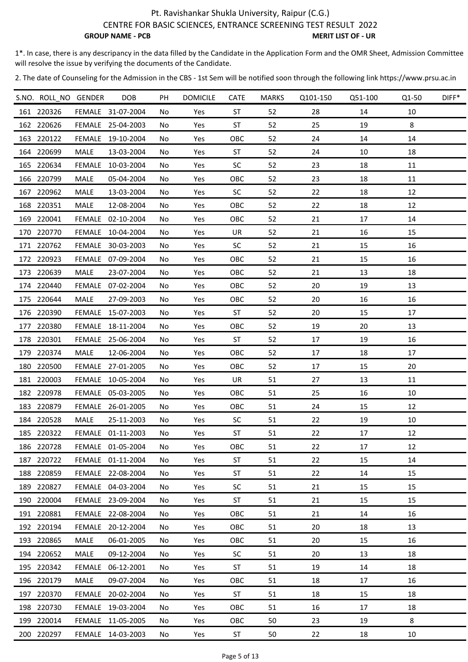CENTRE FOR BASIC SCIENCES, ENTRANCE SCREENING TEST RESULT 2022

**GROUP NAME - PCB** MERIT LIST OF - UR

1\*. In case, there is any descripancy in the data filled by the Candidate in the Application Form and the OMR Sheet, Admission Committee will resolve the issue by verifying the documents of the Candidate.

| S.NO. ROLL NO GENDER |               | <b>DOB</b>        | PH  | <b>DOMICILE</b> | <b>CATE</b> | <b>MARKS</b> | Q101-150 | Q51-100 | Q1-50 | DIFF* |
|----------------------|---------------|-------------------|-----|-----------------|-------------|--------------|----------|---------|-------|-------|
| 161 220326           |               | FEMALE 31-07-2004 | No  | Yes             | <b>ST</b>   | 52           | 28       | 14      | 10    |       |
| 162 220626           |               | FEMALE 25-04-2003 | No  | Yes             | <b>ST</b>   | 52           | 25       | 19      | 8     |       |
| 163 220122           | FEMALE        | 19-10-2004        | No  | Yes             | OBC         | 52           | 24       | 14      | 14    |       |
| 164 220699           | <b>MALE</b>   | 13-03-2004        | No. | Yes             | ST          | 52           | 24       | 10      | 18    |       |
| 165 220634           | <b>FEMALE</b> | 10-03-2004        | No. | Yes             | <b>SC</b>   | 52           | 23       | 18      | 11    |       |
| 166 220799           | MALE          | 05-04-2004        | No. | Yes             | OBC         | 52           | 23       | 18      | 11    |       |
| 167 220962           | MALE          | 13-03-2004        | No. | Yes             | <b>SC</b>   | 52           | 22       | 18      | 12    |       |
| 168 220351           | MALE          | 12-08-2004        | No  | Yes             | OBC         | 52           | 22       | 18      | 12    |       |
| 169 220041           | FEMALE        | 02-10-2004        | No  | Yes             | OBC         | 52           | 21       | 17      | 14    |       |
| 170 220770           | FEMALE        | 10-04-2004        | No. | Yes             | UR          | 52           | 21       | 16      | 15    |       |
| 171 220762           |               | FEMALE 30-03-2003 | No. | Yes             | <b>SC</b>   | 52           | 21       | 15      | 16    |       |
| 172 220923           | <b>FEMALE</b> | 07-09-2004        | No. | Yes             | OBC         | 52           | 21       | 15      | 16    |       |
| 173 220639           | MALE          | 23-07-2004        | No. | Yes             | OBC         | 52           | 21       | 13      | 18    |       |
| 174 220440           | <b>FEMALE</b> | 07-02-2004        | No  | Yes             | OBC         | 52           | 20       | 19      | 13    |       |
| 175 220644           | MALE          | 27-09-2003        | No. | Yes             | OBC         | 52           | 20       | 16      | 16    |       |
| 176 220390           | FEMALE        | 15-07-2003        | No. | Yes             | <b>ST</b>   | 52           | 20       | 15      | 17    |       |
| 177 220380           | <b>FEMALE</b> | 18-11-2004        | No. | Yes             | OBC         | 52           | 19       | 20      | 13    |       |
| 178 220301           |               | FEMALE 25-06-2004 | No. | Yes             | <b>ST</b>   | 52           | 17       | 19      | 16    |       |
| 179 220374           | MALE          | 12-06-2004        | No. | Yes             | OBC         | 52           | 17       | 18      | 17    |       |
| 180 220500           |               | FEMALE 27-01-2005 | No  | Yes             | OBC         | 52           | 17       | 15      | 20    |       |
| 181 220003           |               | FEMALE 10-05-2004 | No. | Yes             | UR          | 51           | 27       | 13      | 11    |       |
| 182 220978           |               | FEMALE 05-03-2005 | No  | Yes             | OBC         | 51           | 25       | 16      | 10    |       |
| 183 220879           |               | FEMALE 26-01-2005 | No. | Yes             | OBC         | 51           | 24       | 15      | 12    |       |
| 184 220528           | MALE          | 25-11-2003        | No. | Yes             | <b>SC</b>   | 51           | 22       | 19      | 10    |       |
| 185 220322           |               | FEMALE 01-11-2003 | No  | Yes             | <b>ST</b>   | 51           | 22       | 17      | 12    |       |
| 186 220728           |               | FEMALE 01-05-2004 | No. | Yes             | OBC         | 51           | 22       | 17      | 12    |       |
| 187 220722           |               | FEMALE 01-11-2004 | No  | Yes             | <b>ST</b>   | 51           | 22       | 15      | 14    |       |
| 188 220859           |               | FEMALE 22-08-2004 | No  | Yes             | ST          | 51           | 22       | 14      | 15    |       |
| 189 220827           |               | FEMALE 04-03-2004 | No. | Yes             | <b>SC</b>   | 51           | 21       | 15      | 15    |       |
| 190 220004           |               | FEMALE 23-09-2004 | No. | Yes             | ST          | 51           | 21       | 15      | 15    |       |
| 191 220881           |               | FEMALE 22-08-2004 | No. | Yes             | OBC         | 51           | 21       | 14      | 16    |       |
| 192 220194           | <b>FEMALE</b> | 20-12-2004        | No. | Yes             | OBC         | 51           | 20       | 18      | 13    |       |
| 193 220865           | MALE          | 06-01-2005        | No  | Yes             | OBC         | 51           | 20       | 15      | 16    |       |
| 194 220652           | MALE          | 09-12-2004        | No  | Yes             | <b>SC</b>   | 51           | 20       | 13      | 18    |       |
| 195 220342           | FEMALE        | 06-12-2001        | No. | Yes             | <b>ST</b>   | 51           | 19       | 14      | 18    |       |
| 196 220179           | MALE          | 09-07-2004        | No. | Yes             | OBC         | 51           | 18       | 17      | 16    |       |
| 197 220370           | <b>FEMALE</b> | 20-02-2004        | No. | Yes             | ST          | 51           | 18       | 15      | 18    |       |
| 198 220730           |               | FEMALE 19-03-2004 | No. | Yes             | OBC         | 51           | 16       | 17      | 18    |       |
| 199 220014           |               | FEMALE 11-05-2005 | No. | Yes             | OBC         | 50           | 23       | 19      | 8     |       |
| 200 220297           |               | FEMALE 14-03-2003 | No  | Yes             | ST          | 50           | 22       | 18      | 10    |       |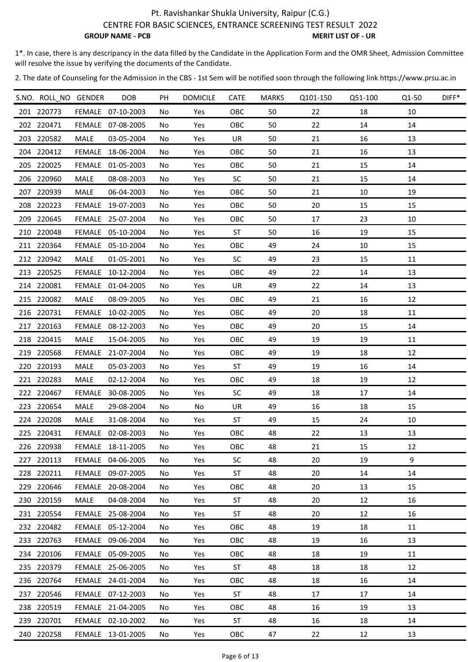CENTRE FOR BASIC SCIENCES, ENTRANCE SCREENING TEST RESULT 2022

**GROUP NAME - PCB** MERIT LIST OF - UR

1\*. In case, there is any descripancy in the data filled by the Candidate in the Application Form and the OMR Sheet, Admission Committee will resolve the issue by verifying the documents of the Candidate.

| S.NO. ROLL NO GENDER |               | <b>DOB</b>        | PH  | <b>DOMICILE</b> | <b>CATE</b> | <b>MARKS</b> | Q101-150 | Q51-100 | Q1-50 | DIFF* |
|----------------------|---------------|-------------------|-----|-----------------|-------------|--------------|----------|---------|-------|-------|
| 201 220773           |               | FEMALE 07-10-2003 | No. | Yes             | OBC         | 50           | 22       | 18      | 10    |       |
| 202 220471           |               | FEMALE 07-08-2005 | No  | Yes             | OBC         | 50           | 22       | 14      | 14    |       |
| 203 220582           | <b>MALE</b>   | 03-05-2004        | No. | Yes             | UR          | 50           | 21       | 16      | 13    |       |
| 204 220412           | FEMALE        | 18-06-2004        | No. | Yes             | OBC         | 50           | 21       | 16      | 13    |       |
| 205 220025           | <b>FEMALE</b> | 01-05-2003        | No. | Yes             | OBC         | 50           | 21       | 15      | 14    |       |
| 206 220960           | MALE          | 08-08-2003        | No. | Yes             | <b>SC</b>   | 50           | 21       | 15      | 14    |       |
| 207 220939           | MALE          | 06-04-2003        | No. | Yes             | OBC         | 50           | 21       | 10      | 19    |       |
| 208 220223           |               | FEMALE 19-07-2003 | No. | Yes             | OBC         | 50           | 20       | 15      | 15    |       |
| 209 220645           |               | FEMALE 25-07-2004 | No  | Yes             | OBC         | 50           | 17       | 23      | 10    |       |
| 210 220048           |               | FEMALE 05-10-2004 | No. | Yes             | <b>ST</b>   | 50           | 16       | 19      | 15    |       |
| 211 220364           |               | FEMALE 05-10-2004 | No. | Yes             | OBC         | 49           | 24       | 10      | 15    |       |
| 212 220942           | MALE          | 01-05-2001        | No. | Yes             | <b>SC</b>   | 49           | 23       | 15      | 11    |       |
| 213 220525           |               | FEMALE 10-12-2004 | No. | Yes             | OBC         | 49           | 22       | 14      | 13    |       |
| 214 220081           | FEMALE        | 01-04-2005        | No. | Yes             | UR          | 49           | 22       | 14      | 13    |       |
| 215 220082           | MALE          | 08-09-2005        | No  | Yes             | OBC         | 49           | 21       | 16      | 12    |       |
| 216 220731           | FEMALE        | 10-02-2005        | No  | Yes             | OBC         | 49           | 20       | 18      | 11    |       |
| 217 220163           | FEMALE        | 08-12-2003        | No. | Yes             | OBC         | 49           | 20       | 15      | 14    |       |
| 218 220415           | MALE          | 15-04-2005        | No. | Yes             | OBC         | 49           | 19       | 19      | 11    |       |
| 219 220568           | FEMALE        | 21-07-2004        | No. | Yes             | OBC         | 49           | 19       | 18      | 12    |       |
| 220 220193           | MALE          | 05-03-2003        | No  | Yes             | <b>ST</b>   | 49           | 19       | 16      | 14    |       |
| 221 220283           | MALE          | 02-12-2004        | No. | Yes             | OBC         | 49           | 18       | 19      | 12    |       |
| 222 220467           | FEMALE        | 30-08-2005        | No  | Yes             | <b>SC</b>   | 49           | 18       | 17      | 14    |       |
| 223 220654           | MALE          | 29-08-2004        | No. | No              | UR          | 49           | 16       | 18      | 15    |       |
| 224 220208           | MALE          | 31-08-2004        | No. | Yes             | ST          | 49           | 15       | 24      | 10    |       |
| 225 220431           |               | FEMALE 02-08-2003 | No  | Yes             | OBC         | 48           | 22       | 13      | 13    |       |
| 226 220938           |               | FEMALE 18-11-2005 | No. | Yes             | OBC         | 48           | 21       | 15      | 12    |       |
| 227 220113           |               | FEMALE 04-06-2005 | No  | Yes             | <b>SC</b>   | 48           | 20       | 19      | 9     |       |
| 228 220211           |               | FEMALE 09-07-2005 | No. | Yes             | <b>ST</b>   | 48           | 20       | 14      | 14    |       |
| 229 220646           |               | FEMALE 20-08-2004 | No. | Yes             | OBC         | 48           | 20       | 13      | 15    |       |
| 230 220159           | MALE          | 04-08-2004        | No. | Yes             | ST          | 48           | 20       | 12      | 16    |       |
| 231 220554           |               | FEMALE 25-08-2004 | No. | Yes             | ST          | 48           | 20       | 12      | 16    |       |
| 232 220482           |               | FEMALE 05-12-2004 | No  | Yes             | OBC         | 48           | 19       | 18      | 11    |       |
| 233 220763           |               | FEMALE 09-06-2004 | No  | Yes             | OBC         | 48           | 19       | 16      | 13    |       |
| 234 220106           |               | FEMALE 05-09-2005 | No. | Yes             | OBC         | 48           | 18       | 19      | 11    |       |
| 235 220379           |               | FEMALE 25-06-2005 | No  | Yes             | <b>ST</b>   | 48           | 18       | 18      | 12    |       |
| 236 220764           |               | FEMALE 24-01-2004 | No. | Yes             | OBC         | 48           | 18       | 16      | 14    |       |
| 237 220546           |               | FEMALE 07-12-2003 | No. | Yes             | ST          | 48           | 17       | 17      | 14    |       |
| 238 220519           |               | FEMALE 21-04-2005 | No. | Yes             | OBC         | 48           | 16       | 19      | 13    |       |
| 239 220701           |               | FEMALE 02-10-2002 | No. | Yes             | ST          | 48           | 16       | 18      | 14    |       |
| 240 220258           |               | FEMALE 13-01-2005 | No  | Yes             | OBC         | 47           | 22       | 12      | 13    |       |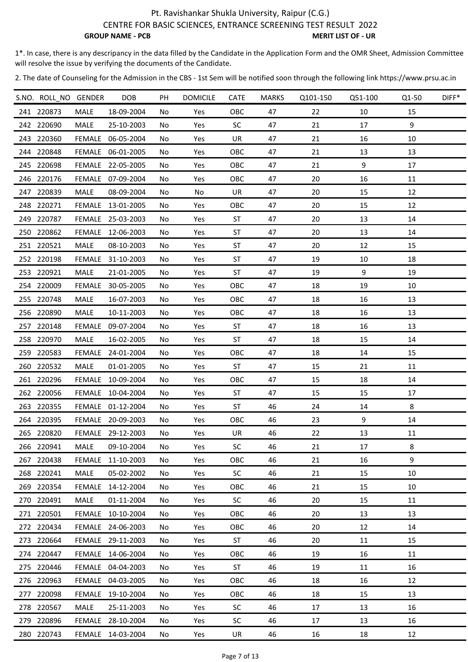CENTRE FOR BASIC SCIENCES, ENTRANCE SCREENING TEST RESULT 2022

**GROUP NAME - PCB** MERIT LIST OF - UR

1\*. In case, there is any descripancy in the data filled by the Candidate in the Application Form and the OMR Sheet, Admission Committee will resolve the issue by verifying the documents of the Candidate.

| S.NO. ROLL NO GENDER |               | DOB               | PH  | <b>DOMICILE</b> | <b>CATE</b> | <b>MARKS</b> | Q101-150 | Q51-100 | Q1-50 | DIFF* |
|----------------------|---------------|-------------------|-----|-----------------|-------------|--------------|----------|---------|-------|-------|
| 241 220873           | MALE          | 18-09-2004        | No. | Yes             | OBC         | 47           | 22       | 10      | 15    |       |
| 242 220690           | MALE          | 25-10-2003        | No. | Yes             | <b>SC</b>   | 47           | 21       | 17      | 9     |       |
| 243 220360           |               | FEMALE 06-05-2004 | No  | Yes             | UR          | 47           | 21       | 16      | 10    |       |
| 244 220848           |               | FEMALE 06-01-2005 | No  | Yes             | OBC         | 47           | 21       | 13      | 13    |       |
| 245 220698           | <b>FEMALE</b> | 22-05-2005        | No  | Yes             | OBC         | 47           | 21       | 9       | 17    |       |
| 246 220176           |               | FEMALE 07-09-2004 | No  | Yes             | OBC         | 47           | 20       | 16      | 11    |       |
| 247 220839           | MALE          | 08-09-2004        | No  | No              | UR          | 47           | 20       | 15      | 12    |       |
| 248 220271           |               | FEMALE 13-01-2005 | No  | Yes             | OBC         | 47           | 20       | 15      | 12    |       |
| 249 220787           |               | FEMALE 25-03-2003 | No  | Yes             | <b>ST</b>   | 47           | 20       | 13      | 14    |       |
| 250 220862           | FEMALE        | 12-06-2003        | No  | Yes             | ST          | 47           | 20       | 13      | 14    |       |
| 251 220521           | MALE          | 08-10-2003        | No. | Yes             | <b>ST</b>   | 47           | 20       | 12      | 15    |       |
| 252 220198           | <b>FEMALE</b> | 31-10-2003        | No  | Yes             | ST          | 47           | 19       | 10      | 18    |       |
| 253 220921           | MALE          | 21-01-2005        | No  | Yes             | <b>ST</b>   | 47           | 19       | 9       | 19    |       |
| 254 220009           | <b>FEMALE</b> | 30-05-2005        | No. | Yes             | OBC         | 47           | 18       | 19      | 10    |       |
| 255 220748           | MALE          | 16-07-2003        | No  | Yes             | OBC         | 47           | 18       | 16      | 13    |       |
| 256 220890           | MALE          | 10-11-2003        | No  | Yes             | OBC         | 47           | 18       | 16      | 13    |       |
| 257 220148           | FEMALE        | 09-07-2004        | No  | Yes             | ST          | 47           | 18       | 16      | 13    |       |
| 258 220970           | MALE          | 16-02-2005        | No  | Yes             | <b>ST</b>   | 47           | 18       | 15      | 14    |       |
| 259 220583           | FEMALE        | 24-01-2004        | No  | Yes             | OBC         | 47           | 18       | 14      | 15    |       |
| 260 220532           | MALE          | 01-01-2005        | No  | Yes             | <b>ST</b>   | 47           | 15       | 21      | 11    |       |
| 261 220296           | FEMALE        | 10-09-2004        | No. | Yes             | OBC         | 47           | 15       | 18      | 14    |       |
| 262 220056           |               | FEMALE 10-04-2004 | No  | Yes             | ST          | 47           | 15       | 15      | 17    |       |
| 263 220355           |               | FEMALE 01-12-2004 | No. | Yes             | <b>ST</b>   | 46           | 24       | 14      | 8     |       |
| 264 220395           |               | FEMALE 20-09-2003 | No  | Yes             | OBC         | 46           | 23       | 9       | 14    |       |
| 265 220820           |               | FEMALE 29-12-2003 | No  | Yes             | UR          | 46           | 22       | 13      | 11    |       |
| 266 220941           | MALE          | 09-10-2004        | No  | Yes             | <b>SC</b>   | 46           | 21       | 17      | 8     |       |
| 267 220438           | <b>FEMALE</b> | 11-10-2003        | No  | Yes             | OBC         | 46           | 21       | 16      | 9     |       |
| 268 220241           | MALE          | 05-02-2002        | No  | Yes             | <b>SC</b>   | 46           | 21       | 15      | 10    |       |
| 269 220354           | <b>FEMALE</b> | 14-12-2004        | No  | Yes             | OBC         | 46           | 21       | 15      | 10    |       |
| 270 220491           | MALE          | 01-11-2004        | No  | Yes             | <b>SC</b>   | 46           | 20       | 15      | 11    |       |
| 271 220501           |               | FEMALE 10-10-2004 | No  | Yes             | <b>OBC</b>  | 46           | 20       | 13      | 13    |       |
| 272 220434           | FEMALE        | 24-06-2003        | No  | Yes             | <b>OBC</b>  | 46           | 20       | 12      | 14    |       |
| 273 220664           |               | FEMALE 29-11-2003 | No  | Yes             | <b>ST</b>   | 46           | 20       | 11      | 15    |       |
| 274 220447           |               | FEMALE 14-06-2004 | No  | Yes             | OBC         | 46           | 19       | 16      | 11    |       |
| 275 220446           |               | FEMALE 04-04-2003 | No  | Yes             | <b>ST</b>   | 46           | 19       | 11      | 16    |       |
| 276 220963           |               | FEMALE 04-03-2005 | No  | Yes             | OBC         | 46           | 18       | 16      | 12    |       |
| 277 220098           | <b>FEMALE</b> | 19-10-2004        | No  | Yes             | <b>OBC</b>  | 46           | 18       | 15      | 13    |       |
| 278 220567           | MALE          | 25-11-2003        | No  | Yes             | <b>SC</b>   | 46           | 17       | 13      | 16    |       |
| 279 220896           | FEMALE        | 28-10-2004        | No  | Yes             | <b>SC</b>   | 46           | 17       | 13      | 16    |       |
| 280 220743           |               | FEMALE 14-03-2004 | No  | Yes             | UR          | 46           | 16       | 18      | 12    |       |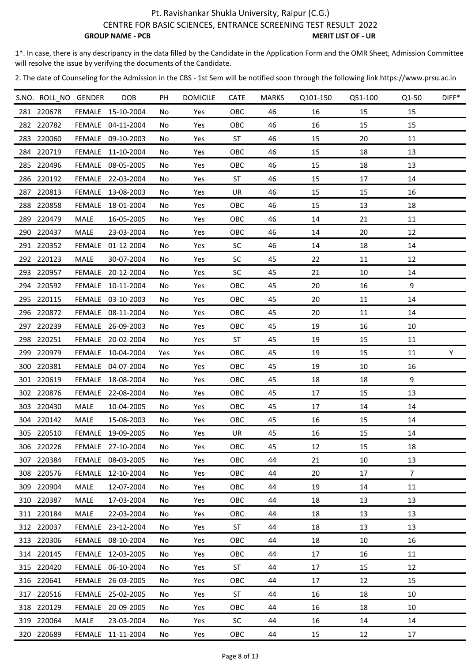CENTRE FOR BASIC SCIENCES, ENTRANCE SCREENING TEST RESULT 2022

**GROUP NAME - PCB** MERIT LIST OF - UR

1\*. In case, there is any descripancy in the data filled by the Candidate in the Application Form and the OMR Sheet, Admission Committee will resolve the issue by verifying the documents of the Candidate.

| S.NO. ROLL NO GENDER |               | <b>DOB</b>        | PH  | <b>DOMICILE</b> | <b>CATE</b> | <b>MARKS</b> | Q101-150 | Q51-100 | Q1-50          | DIFF* |
|----------------------|---------------|-------------------|-----|-----------------|-------------|--------------|----------|---------|----------------|-------|
| 281 220678           |               | FEMALE 15-10-2004 | No  | Yes             | OBC         | 46           | 16       | 15      | 15             |       |
| 282 220782           |               | FEMALE 04-11-2004 | No  | Yes             | OBC         | 46           | 16       | 15      | 15             |       |
| 283 220060           |               | FEMALE 09-10-2003 | No  | Yes             | <b>ST</b>   | 46           | 15       | 20      | 11             |       |
| 284 220719           |               | FEMALE 11-10-2004 | No. | Yes             | OBC         | 46           | 15       | 18      | 13             |       |
| 285 220496           |               | FEMALE 08-05-2005 | No  | Yes             | OBC         | 46           | 15       | 18      | 13             |       |
| 286 220192           |               | FEMALE 22-03-2004 | No  | Yes             | <b>ST</b>   | 46           | 15       | 17      | 14             |       |
| 287 220813           | FEMALE        | 13-08-2003        | No. | Yes             | UR          | 46           | 15       | 15      | 16             |       |
| 288 220858           |               | FEMALE 18-01-2004 | No  | Yes             | OBC         | 46           | 15       | 13      | 18             |       |
| 289 220479           | MALE          | 16-05-2005        | No  | Yes             | OBC         | 46           | 14       | 21      | 11             |       |
| 290 220437           | MALE          | 23-03-2004        | No. | Yes             | OBC         | 46           | 14       | 20      | 12             |       |
| 291 220352           |               | FEMALE 01-12-2004 | No. | Yes             | <b>SC</b>   | 46           | 14       | 18      | 14             |       |
| 292 220123           | <b>MALE</b>   | 30-07-2004        | No  | Yes             | <b>SC</b>   | 45           | 22       | 11      | 12             |       |
| 293 220957           | FEMALE        | 20-12-2004        | No. | Yes             | <b>SC</b>   | 45           | 21       | 10      | 14             |       |
| 294 220592           |               | FEMALE 10-11-2004 | No  | Yes             | OBC         | 45           | 20       | 16      | 9              |       |
| 295 220115           |               | FEMALE 03-10-2003 | No  | Yes             | OBC         | 45           | 20       | 11      | 14             |       |
| 296 220872           |               | FEMALE 08-11-2004 | No  | Yes             | OBC         | 45           | 20       | 11      | 14             |       |
| 297 220239           |               | FEMALE 26-09-2003 | No. | Yes             | OBC         | 45           | 19       | 16      | 10             |       |
| 298 220251           |               | FEMALE 20-02-2004 | No  | Yes             | <b>ST</b>   | 45           | 19       | 15      | 11             |       |
| 299 220979           | FEMALE        | 10-04-2004        | Yes | Yes             | OBC         | 45           | 19       | 15      | 11             | Y     |
| 300 220381           |               | FEMALE 04-07-2004 | No  | Yes             | OBC         | 45           | 19       | 10      | 16             |       |
| 301 220619           | FEMALE        | 18-08-2004        | No  | Yes             | OBC         | 45           | 18       | 18      | 9              |       |
| 302 220876           |               | FEMALE 22-08-2004 | No  | Yes             | OBC         | 45           | 17       | 15      | 13             |       |
| 303 220430           | MALE          | 10-04-2005        | No  | Yes             | OBC         | 45           | 17       | 14      | 14             |       |
| 304 220142           | MALE          | 15-08-2003        | No  | Yes             | OBC         | 45           | 16       | 15      | 14             |       |
| 305 220510           | FEMALE        | 19-09-2005        | No  | Yes             | UR          | 45           | 16       | 15      | 14             |       |
| 306 220226           |               | FEMALE 27-10-2004 | No. | Yes             | OBC         | 45           | 12       | 15      | 18             |       |
| 307 220384           |               | FEMALE 08-03-2005 | No  | Yes             | OBC         | 44           | 21       | 10      | 13             |       |
| 308 220576           | FEMALE        | 12-10-2004        | No  | Yes             | OBC         | 44           | 20       | 17      | $\overline{7}$ |       |
| 309 220904           | MALE          | 12-07-2004        | No  | Yes             | OBC         | 44           | 19       | 14      | 11             |       |
| 310 220387           | MALE          | 17-03-2004        | No. | Yes             | OBC         | 44           | 18       | 13      | 13             |       |
| 311 220184           | MALE          | 22-03-2004        | No  | Yes             | <b>OBC</b>  | 44           | 18       | 13      | 13             |       |
| 312 220037           | <b>FEMALE</b> | 23-12-2004        | No  | Yes             | ST          | 44           | 18       | 13      | 13             |       |
| 313 220306           |               | FEMALE 08-10-2004 | No  | Yes             | OBC         | 44           | 18       | 10      | 16             |       |
| 314 220145           |               | FEMALE 12-03-2005 | No. | Yes             | OBC         | 44           | 17       | 16      | 11             |       |
| 315 220420           |               | FEMALE 06-10-2004 | No. | Yes             | ST          | 44           | 17       | 15      | 12             |       |
| 316 220641           |               | FEMALE 26-03-2005 | No  | Yes             | <b>OBC</b>  | 44           | 17       | 12      | 15             |       |
| 317 220516           |               | FEMALE 25-02-2005 | No  | Yes             | ST          | 44           | 16       | 18      | 10             |       |
| 318 220129           |               | FEMALE 20-09-2005 | No  | Yes             | OBC         | 44           | 16       | 18      | 10             |       |
| 319 220064           | MALE          | 23-03-2004        | No  | Yes             | <b>SC</b>   | 44           | 16       | 14      | 14             |       |
| 320 220689           | FEMALE        | 11-11-2004        | No  | Yes             | OBC         | 44           | 15       | 12      | $17\,$         |       |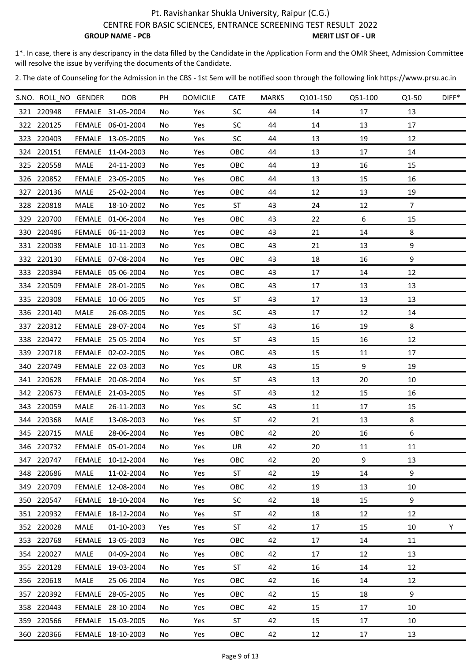CENTRE FOR BASIC SCIENCES, ENTRANCE SCREENING TEST RESULT 2022

**GROUP NAME - PCB** MERIT LIST OF - UR

1\*. In case, there is any descripancy in the data filled by the Candidate in the Application Form and the OMR Sheet, Admission Committee will resolve the issue by verifying the documents of the Candidate.

| S.NO. ROLL NO GENDER |               | <b>DOB</b>        | PH  | <b>DOMICILE</b> | <b>CATE</b> | <b>MARKS</b> | Q101-150 | Q51-100 | Q1-50          | $DIFF*$ |
|----------------------|---------------|-------------------|-----|-----------------|-------------|--------------|----------|---------|----------------|---------|
| 321 220948           |               | FEMALE 31-05-2004 | No  | Yes             | <b>SC</b>   | 44           | 14       | 17      | 13             |         |
| 322 220125           |               | FEMALE 06-01-2004 | No  | Yes             | SC          | 44           | 14       | 13      | 17             |         |
| 323 220403           |               | FEMALE 13-05-2005 | No  | Yes             | <b>SC</b>   | 44           | 13       | 19      | 12             |         |
| 324 220151           | FEMALE        | 11-04-2003        | No  | Yes             | OBC         | 44           | 13       | 17      | 14             |         |
| 325 220558           | MALE          | 24-11-2003        | No. | Yes             | OBC         | 44           | 13       | 16      | 15             |         |
| 326 220852           | FEMALE        | 23-05-2005        | No  | Yes             | OBC         | 44           | 13       | 15      | 16             |         |
| 327 220136           | MALE          | 25-02-2004        | No  | Yes             | OBC         | 44           | 12       | 13      | 19             |         |
| 328 220818           | MALE          | 18-10-2002        | No  | Yes             | ST          | 43           | 24       | 12      | $\overline{7}$ |         |
| 329 220700           | FEMALE        | 01-06-2004        | No  | Yes             | OBC         | 43           | 22       | 6       | 15             |         |
| 330 220486           |               | FEMALE 06-11-2003 | No  | Yes             | OBC         | 43           | 21       | 14      | 8              |         |
| 331 220038           |               | FEMALE 10-11-2003 | No. | Yes             | OBC         | 43           | 21       | 13      | 9              |         |
| 332 220130           |               | FEMALE 07-08-2004 | No  | Yes             | OBC         | 43           | 18       | 16      | 9              |         |
| 333 220394           |               | FEMALE 05-06-2004 | No. | Yes             | OBC         | 43           | 17       | 14      | 12             |         |
| 334 220509           |               | FEMALE 28-01-2005 | No  | Yes             | OBC         | 43           | 17       | 13      | 13             |         |
| 335 220308           |               | FEMALE 10-06-2005 | No  | Yes             | <b>ST</b>   | 43           | 17       | 13      | 13             |         |
| 336 220140           | MALE          | 26-08-2005        | No  | Yes             | SC          | 43           | 17       | 12      | 14             |         |
| 337 220312           | <b>FEMALE</b> | 28-07-2004        | No. | Yes             | ST          | 43           | 16       | 19      | 8              |         |
| 338 220472           |               | FEMALE 25-05-2004 | No  | Yes             | <b>ST</b>   | 43           | 15       | 16      | 12             |         |
| 339 220718           |               | FEMALE 02-02-2005 | No  | Yes             | OBC         | 43           | 15       | 11      | 17             |         |
| 340 220749           |               | FEMALE 22-03-2003 | No. | Yes             | UR          | 43           | 15       | 9       | 19             |         |
| 341 220628           |               | FEMALE 20-08-2004 | No  | Yes             | <b>ST</b>   | 43           | 13       | 20      | 10             |         |
| 342 220673           |               | FEMALE 21-03-2005 | No  | Yes             | <b>ST</b>   | 43           | 12       | 15      | 16             |         |
| 343 220059           | MALE          | 26-11-2003        | No  | Yes             | <b>SC</b>   | 43           | 11       | 17      | 15             |         |
| 344 220368           | MALE          | 13-08-2003        | No  | Yes             | <b>ST</b>   | 42           | 21       | 13      | 8              |         |
| 345 220715           | MALE          | 28-06-2004        | No  | Yes             | OBC         | 42           | 20       | 16      | 6              |         |
| 346 220732           |               | FEMALE 05-01-2004 | No. | Yes             | UR          | 42           | 20       | 11      | 11             |         |
| 347 220747           |               | FEMALE 10-12-2004 | No  | Yes             | OBC         | 42           | 20       | 9       | 13             |         |
| 348 220686           | MALE          | 11-02-2004        | No  | Yes             | ST          | 42           | 19       | 14      | 9              |         |
| 349 220709           | <b>FEMALE</b> | 12-08-2004        | No. | Yes             | OBC         | 42           | 19       | 13      | 10             |         |
| 350 220547           | <b>FEMALE</b> | 18-10-2004        | No. | Yes             | <b>SC</b>   | 42           | 18       | 15      | 9              |         |
| 351 220932           |               | FEMALE 18-12-2004 | No  | Yes             | <b>ST</b>   | 42           | 18       | 12      | 12             |         |
| 352 220028           | MALE          | 01-10-2003        | Yes | Yes             | ST          | 42           | 17       | 15      | 10             | Y       |
| 353 220768           | FEMALE        | 13-05-2003        | No  | Yes             | OBC         | 42           | 17       | 14      | 11             |         |
| 354 220027           | MALE          | 04-09-2004        | No  | Yes             | OBC         | 42           | 17       | 12      | 13             |         |
| 355 220128           | FEMALE        | 19-03-2004        | No. | Yes             | <b>ST</b>   | 42           | 16       | 14      | 12             |         |
| 356 220618           | MALE          | 25-06-2004        | No  | Yes             | OBC         | 42           | 16       | 14      | 12             |         |
| 357 220392           | <b>FEMALE</b> | 28-05-2005        | No. | Yes             | OBC         | 42           | 15       | 18      | 9              |         |
| 358 220443           |               | FEMALE 28-10-2004 | No  | Yes             | OBC         | 42           | 15       | 17      | 10             |         |
| 359 220566           | <b>FEMALE</b> | 15-03-2005        | No  | Yes             | <b>ST</b>   | 42           | 15       | 17      | 10             |         |
| 360 220366           |               | FEMALE 18-10-2003 | No  | Yes             | OBC         | 42           | 12       | 17      | 13             |         |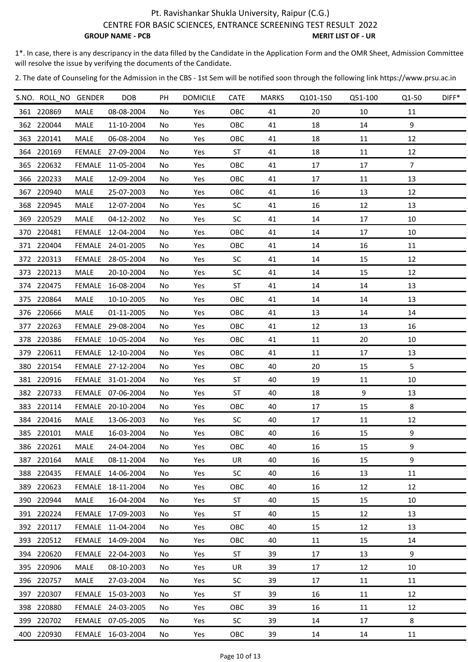CENTRE FOR BASIC SCIENCES, ENTRANCE SCREENING TEST RESULT 2022

**GROUP NAME - PCB** MERIT LIST OF - UR

1\*. In case, there is any descripancy in the data filled by the Candidate in the Application Form and the OMR Sheet, Admission Committee will resolve the issue by verifying the documents of the Candidate.

| S.NO. ROLL NO GENDER |               | DOB               | PH  | <b>DOMICILE</b> | <b>CATE</b> | MARKS | Q101-150 | Q51-100 | Q1-50          | DIFF* |
|----------------------|---------------|-------------------|-----|-----------------|-------------|-------|----------|---------|----------------|-------|
| 361 220869           | MALE          | 08-08-2004        | No  | Yes             | OBC         | 41    | 20       | 10      | 11             |       |
| 362 220044           | MALE          | 11-10-2004        | No  | Yes             | OBC         | 41    | 18       | 14      | 9              |       |
| 363 220141           | MALE          | 06-08-2004        | No  | Yes             | OBC         | 41    | 18       | 11      | 12             |       |
| 364 220169           | FEMALE        | 27-09-2004        | No  | Yes             | <b>ST</b>   | 41    | 18       | 11      | 12             |       |
| 365 220632           | <b>FEMALE</b> | 11-05-2004        | No  | Yes             | OBC         | 41    | 17       | 17      | $\overline{7}$ |       |
| 366 220233           | MALE          | 12-09-2004        | No. | Yes             | OBC         | 41    | 17       | 11      | 13             |       |
| 367 220940           | MALE          | 25-07-2003        | No  | Yes             | OBC         | 41    | 16       | 13      | 12             |       |
| 368 220945           | MALE          | 12-07-2004        | No. | Yes             | <b>SC</b>   | 41    | 16       | 12      | 13             |       |
| 369 220529           | <b>MALE</b>   | 04-12-2002        | No  | Yes             | <b>SC</b>   | 41    | 14       | 17      | 10             |       |
| 370 220481           | FEMALE        | 12-04-2004        | No  | Yes             | OBC         | 41    | 14       | 17      | 10             |       |
| 371 220404           | FEMALE        | 24-01-2005        | No. | Yes             | OBC         | 41    | 14       | 16      | 11             |       |
| 372 220313           | FEMALE        | 28-05-2004        | No  | Yes             | <b>SC</b>   | 41    | 14       | 15      | 12             |       |
| 373 220213           | MALE          | 20-10-2004        | No  | Yes             | <b>SC</b>   | 41    | 14       | 15      | 12             |       |
| 374 220475           | <b>FEMALE</b> | 16-08-2004        | No. | Yes             | <b>ST</b>   | 41    | 14       | 14      | 13             |       |
| 375 220864           | MALE          | 10-10-2005        | No. | Yes             | OBC         | 41    | 14       | 14      | 13             |       |
| 376 220666           | MALE          | 01-11-2005        | No  | Yes             | OBC         | 41    | 13       | 14      | 14             |       |
| 377 220263           | FEMALE        | 29-08-2004        | No  | Yes             | OBC         | 41    | 12       | 13      | 16             |       |
| 378 220386           |               | FEMALE 10-05-2004 | No. | Yes             | OBC         | 41    | 11       | 20      | 10             |       |
| 379 220611           |               | FEMALE 12-10-2004 | No  | Yes             | OBC         | 41    | 11       | 17      | 13             |       |
| 380 220154           |               | FEMALE 27-12-2004 | No. | Yes             | OBC         | 40    | 20       | 15      | 5              |       |
| 381 220916           |               | FEMALE 31-01-2004 | No  | Yes             | ST          | 40    | 19       | 11      | 10             |       |
| 382 220733           |               | FEMALE 07-06-2004 | No  | Yes             | <b>ST</b>   | 40    | 18       | 9       | 13             |       |
| 383 220114           |               | FEMALE 20-10-2004 | No  | Yes             | OBC         | 40    | 17       | 15      | 8              |       |
| 384 220416           | MALE          | 13-06-2003        | No  | Yes             | <b>SC</b>   | 40    | 17       | 11      | 12             |       |
| 385 220101           | MALE          | 16-03-2004        | No  | Yes             | OBC         | 40    | 16       | 15      | 9              |       |
| 386 220261           | MALE          | 24-04-2004        | No  | Yes             | OBC         | 40    | 16       | 15      | 9              |       |
| 387 220164           | MALE          | 08-11-2004        | No  | Yes             | UR          | 40    | 16       | 15      | 9              |       |
| 388 220435           | FEMALE        | 14-06-2004        | No  | Yes             | <b>SC</b>   | 40    | 16       | 13      | 11             |       |
| 389 220623           |               | FEMALE 18-11-2004 | No. | Yes             | OBC         | 40    | 16       | 12      | 12             |       |
| 390 220944           | MALE          | 16-04-2004        | No. | Yes             | ST          | 40    | 15       | 15      | 10             |       |
| 391 220224           |               | FEMALE 17-09-2003 | No. | Yes             | <b>ST</b>   | 40    | 15       | 12      | 13             |       |
| 392 220117           |               | FEMALE 11-04-2004 | No  | Yes             | OBC         | 40    | 15       | 12      | 13             |       |
| 393 220512           |               | FEMALE 14-09-2004 | No  | Yes             | OBC         | 40    | 11       | 15      | 14             |       |
| 394 220620           |               | FEMALE 22-04-2003 | No  | Yes             | ST          | 39    | 17       | 13      | 9              |       |
| 395 220906           | MALE          | 08-10-2003        | No  | Yes             | UR          | 39    | 17       | 12      | 10             |       |
| 396 220757           | MALE          | 27-03-2004        | No  | Yes             | <b>SC</b>   | 39    | 17       | 11      | 11             |       |
| 397 220307           | <b>FEMALE</b> | 15-03-2003        | No  | Yes             | <b>ST</b>   | 39    | 16       | 11      | 12             |       |
| 398 220880           |               | FEMALE 24-03-2005 | No  | Yes             | OBC         | 39    | 16       | 11      | 12             |       |
| 399 220702           |               | FEMALE 07-05-2005 | No  | Yes             | <b>SC</b>   | 39    | 14       | 17      | 8              |       |
| 400 220930           |               | FEMALE 16-03-2004 | No  | Yes             | OBC         | 39    | 14       | 14      | 11             |       |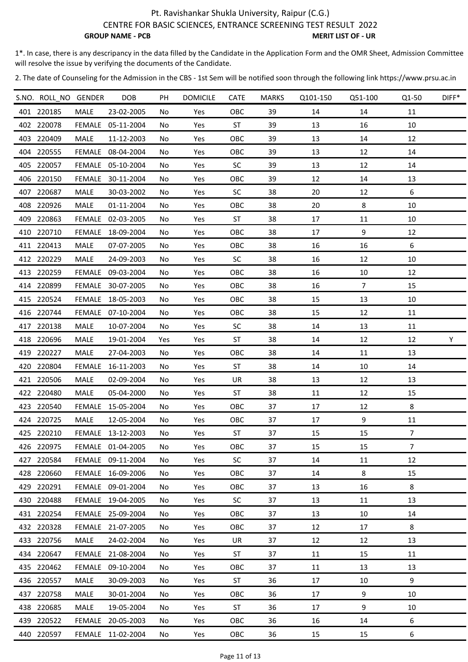CENTRE FOR BASIC SCIENCES, ENTRANCE SCREENING TEST RESULT 2022

**GROUP NAME - PCB** MERIT LIST OF - UR

1\*. In case, there is any descripancy in the data filled by the Candidate in the Application Form and the OMR Sheet, Admission Committee will resolve the issue by verifying the documents of the Candidate.

| S.NO. ROLL NO GENDER |               | <b>DOB</b>        | PH  | <b>DOMICILE</b> | <b>CATE</b> | <b>MARKS</b> | Q101-150 | Q51-100        | Q1-50          | DIFF* |
|----------------------|---------------|-------------------|-----|-----------------|-------------|--------------|----------|----------------|----------------|-------|
| 401 220185           | MALE          | 23-02-2005        | No. | Yes             | OBC         | 39           | 14       | 14             | 11             |       |
| 402 220078           |               | FEMALE 05-11-2004 | No  | Yes             | <b>ST</b>   | 39           | 13       | 16             | 10             |       |
| 403 220409           | MALE          | 11-12-2003        | No  | Yes             | OBC         | 39           | 13       | 14             | 12             |       |
| 404 220555           | FEMALE        | 08-04-2004        | No. | Yes             | OBC         | 39           | 13       | 12             | 14             |       |
| 405 220057           | <b>FEMALE</b> | 05-10-2004        | No. | Yes             | <b>SC</b>   | 39           | 13       | 12             | 14             |       |
| 406 220150           | FEMALE        | 30-11-2004        | No. | Yes             | OBC         | 39           | 12       | 14             | 13             |       |
| 407 220687           | MALE          | 30-03-2002        | No. | Yes             | <b>SC</b>   | 38           | 20       | 12             | 6              |       |
| 408 220926           | MALE          | 01-11-2004        | No  | Yes             | OBC         | 38           | 20       | 8              | 10             |       |
| 409 220863           | FEMALE        | 02-03-2005        | No  | Yes             | <b>ST</b>   | 38           | 17       | 11             | 10             |       |
| 410 220710           | <b>FEMALE</b> | 18-09-2004        | No. | Yes             | OBC         | 38           | 17       | 9              | 12             |       |
| 411 220413           | MALE          | 07-07-2005        | No. | Yes             | OBC         | 38           | 16       | 16             | 6              |       |
| 412 220229           | MALE          | 24-09-2003        | No. | Yes             | <b>SC</b>   | 38           | 16       | 12             | 10             |       |
| 413 220259           | FEMALE        | 09-03-2004        | No  | Yes             | OBC         | 38           | 16       | 10             | 12             |       |
| 414 220899           | FEMALE        | 30-07-2005        | No  | Yes             | OBC         | 38           | 16       | $\overline{7}$ | 15             |       |
| 415 220524           | FEMALE        | 18-05-2003        | No  | Yes             | OBC         | 38           | 15       | 13             | 10             |       |
| 416 220744           | FEMALE        | 07-10-2004        | No. | Yes             | OBC         | 38           | 15       | 12             | 11             |       |
| 417 220138           | MALE          | 10-07-2004        | No. | Yes             | <b>SC</b>   | 38           | 14       | 13             | 11             |       |
| 418 220696           | MALE          | 19-01-2004        | Yes | Yes             | <b>ST</b>   | 38           | 14       | 12             | 12             | Y     |
| 419 220227           | MALE          | 27-04-2003        | No  | Yes             | OBC         | 38           | 14       | 11             | 13             |       |
| 420 220804           | <b>FEMALE</b> | 16-11-2003        | No  | Yes             | ST          | 38           | 14       | 10             | 14             |       |
| 421 220506           | MALE          | 02-09-2004        | No. | Yes             | UR          | 38           | 13       | 12             | 13             |       |
| 422 220480           | <b>MALE</b>   | 05-04-2000        | No  | Yes             | ST          | 38           | 11       | 12             | 15             |       |
| 423 220540           | <b>FEMALE</b> | 15-05-2004        | No. | Yes             | OBC         | 37           | 17       | 12             | 8              |       |
| 424 220725           | MALE          | 12-05-2004        | No. | Yes             | OBC         | 37           | 17       | 9              | 11             |       |
| 425 220210           |               | FEMALE 13-12-2003 | No  | Yes             | <b>ST</b>   | 37           | 15       | 15             | $\overline{7}$ |       |
| 426 220975           |               | FEMALE 01-04-2005 | No. | Yes             | OBC         | 37           | 15       | 15             | $\overline{7}$ |       |
| 427 220584           |               | FEMALE 09-11-2004 | No  | Yes             | <b>SC</b>   | 37           | 14       | 11             | 12             |       |
| 428 220660           |               | FEMALE 16-09-2006 | No  | Yes             | OBC         | 37           | 14       | 8              | 15             |       |
| 429 220291           |               | FEMALE 09-01-2004 | No. | Yes             | OBC         | 37           | 13       | 16             | 8              |       |
| 430 220488           |               | FEMALE 19-04-2005 | No. | Yes             | <b>SC</b>   | 37           | 13       | 11             | 13             |       |
| 431 220254           |               | FEMALE 25-09-2004 | No. | Yes             | OBC         | 37           | 13       | 10             | 14             |       |
| 432 220328           |               | FEMALE 21-07-2005 | No. | Yes             | OBC         | 37           | 12       | 17             | 8              |       |
| 433 220756           | MALE          | 24-02-2004        | No  | Yes             | UR          | 37           | 12       | 12             | 13             |       |
| 434 220647           | FEMALE        | 21-08-2004        | No  | Yes             | <b>ST</b>   | 37           | 11       | 15             | 11             |       |
| 435 220462           | FEMALE        | 09-10-2004        | No  | Yes             | OBC         | 37           | 11       | 13             | 13             |       |
| 436 220557           | MALE          | 30-09-2003        | No. | Yes             | ST          | 36           | 17       | 10             | 9              |       |
| 437 220758           | MALE          | 30-01-2004        | No. | Yes             | OBC         | 36           | 17       | 9              | 10             |       |
| 438 220685           | MALE          | 19-05-2004        | No. | Yes             | ST          | 36           | 17       | 9              | 10             |       |
| 439 220522           | FEMALE        | 20-05-2003        | No. | Yes             | OBC         | 36           | 16       | 14             | 6              |       |
| 440 220597           |               | FEMALE 11-02-2004 | No  | Yes             | OBC         | 36           | 15       | 15             | 6              |       |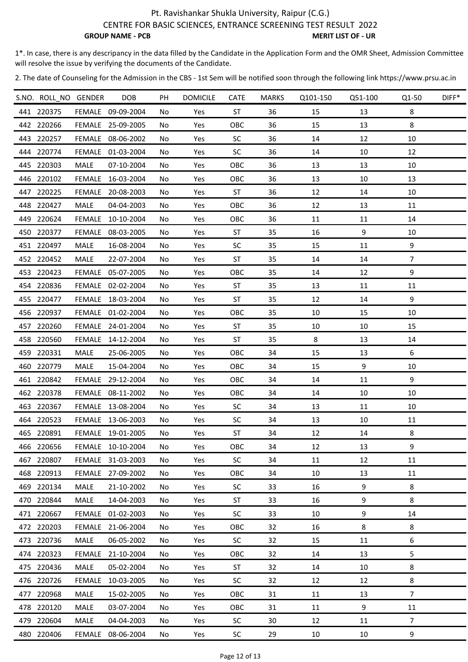CENTRE FOR BASIC SCIENCES, ENTRANCE SCREENING TEST RESULT 2022

**GROUP NAME - PCB** MERIT LIST OF - UR

1\*. In case, there is any descripancy in the data filled by the Candidate in the Application Form and the OMR Sheet, Admission Committee will resolve the issue by verifying the documents of the Candidate.

| 8<br>441 220375<br>FEMALE 09-09-2004<br>ST<br>36<br>13<br>No<br>Yes<br>15<br>OBC<br>36<br>13<br>8<br>442 220266<br>15<br>FEMALE 25-09-2005<br>No<br>Yes<br>SC<br>36<br>12<br>10<br>443 220257<br>FEMALE 08-06-2002<br>Yes<br>14<br>No<br>SC<br>444 220774<br>FEMALE 01-03-2004<br>36<br>14<br>10<br>12<br>Yes<br>No.<br>445 220303<br>OBC<br>36<br>10<br>MALE<br>07-10-2004<br>Yes<br>13<br>13<br>No<br>446 220102<br>FEMALE 16-03-2004<br>OBC<br>36<br>13<br>10<br>13<br>Yes<br>No<br>447 220225<br><b>FEMALE</b><br>20-08-2003<br><b>ST</b><br>36<br>12<br>14<br>10<br>Yes<br>No.<br>36<br>448 220427<br>MALE<br>OBC<br>12<br>13<br>11<br>04-04-2003<br>No<br>Yes<br>36<br>449 220624<br><b>FEMALE</b><br>10-10-2004<br>OBC<br>11<br>11<br>14<br>No<br>Yes<br>9<br>450 220377<br>FEMALE<br><b>ST</b><br>35<br>16<br>10<br>08-03-2005<br>Yes<br>No.<br>9<br>451 220497<br>MALE<br>16-08-2004<br><b>SC</b><br>35<br>15<br>Yes<br>11<br>No<br>452 220452<br>MALE<br><b>ST</b><br>35<br>14<br>14<br>7<br>22-07-2004<br>Yes<br>No<br>9<br>OBC<br>35<br>453 220423<br>FEMALE<br>05-07-2005<br>Yes<br>14<br>12<br>No<br>454 220836<br><b>ST</b><br>35<br>13<br>11<br><b>FEMALE</b><br>02-02-2004<br>No<br>Yes<br>11<br><b>ST</b><br>35<br>9<br>455 220477<br>Yes<br>12<br>14<br>FEMALE 18-03-2004<br>No<br>35<br>10<br>15<br>10<br>456 220937<br>OBC<br>FEMALE 01-02-2004<br>Yes<br>No.<br>457 220260<br>FEMALE 24-01-2004<br><b>ST</b><br>35<br>10<br>10<br>15<br>Yes<br>No<br>458 220560<br><b>ST</b><br>35<br>8<br>13<br>FEMALE 14-12-2004<br>14<br>No<br>Yes<br>459 220331<br>MALE<br>OBC<br>34<br>15<br>13<br>6<br>25-06-2005<br>Yes<br>No<br>9<br>460 220779<br>MALE<br>OBC<br>10<br>15-04-2004<br>Yes<br>34<br>15<br>No.<br>9<br>461 220842<br>OBC<br>34<br>14<br>11<br>FEMALE<br>29-12-2004<br>Yes<br>No.<br>462 220378<br>FEMALE 08-11-2002<br>Yes<br>OBC<br>34<br>14<br>10<br>10<br>No<br>463 220367<br>FEMALE 13-08-2004<br>Yes<br><b>SC</b><br>34<br>13<br>11<br>10<br>No<br>464 220523<br><b>SC</b><br>34<br>FEMALE 13-06-2003<br>Yes<br>13<br>10<br>11<br>No<br>$\,8\,$<br><b>ST</b><br>34<br>465 220891<br>FEMALE 19-01-2005<br>No<br>Yes<br>12<br>14<br>466 220656<br>FEMALE 10-10-2004<br>9<br>OBC<br>34<br>12<br>13<br>Yes<br>No<br>467 220807<br><b>SC</b><br>11<br>12<br>11<br>FEMALE 31-03-2003<br>34<br>No<br>Yes<br>468 220913<br>OBC<br>11<br><b>FEMALE</b><br>27-09-2002<br>Yes<br>34<br>10<br>13<br>No<br>469 220134<br>21-10-2002<br>9<br>8<br>MALE<br><b>SC</b><br>33<br>16<br>Yes<br>No<br>470 220844<br>8<br>MALE<br>14-04-2003<br>ST<br>33<br>16<br>9<br>Yes<br>No<br>471 220667<br>01-02-2003<br><b>SC</b><br>33<br>10<br>9<br>14<br>FEMALE<br>Yes<br>No<br>472 220203<br>21-06-2004<br>8<br>8<br><b>FEMALE</b><br>OBC<br>32<br>16<br>No<br>Yes<br>473 220736<br>6<br>MALE<br>06-05-2002<br><b>SC</b><br>32<br>11<br>No<br>Yes<br>15<br>474 220323<br>13<br>5<br><b>FEMALE</b><br>21-10-2004<br>OBC<br>32<br>14<br>Yes<br>No<br>475 220436<br>MALE<br>32<br>8<br>05-02-2004<br>ST<br>14<br>10<br>Yes<br>No.<br>8<br>476 220726<br><b>FEMALE</b><br>10-03-2005<br><b>SC</b><br>32<br>12<br>12<br>Yes<br>No<br>477 220968<br>MALE<br>15-02-2005<br>OBC<br>31<br>11<br>13<br>$\overline{7}$<br>No<br>Yes<br>478 220120<br>MALE<br>03-07-2004<br>OBC<br>31<br>11<br>9<br>11<br>No<br>Yes<br>479 220604<br>$\overline{7}$<br>MALE<br>04-04-2003<br><b>SC</b><br>30<br>12<br>11<br>No<br>Yes<br>480 220406<br>SC<br>29<br>9<br>FEMALE 08-06-2004<br>Yes<br>$10\,$<br>10<br>No | S.NO. ROLL NO GENDER | <b>DOB</b> | PH | <b>DOMICILE</b> | <b>CATE</b> | <b>MARKS</b> | Q101-150 | Q51-100 | Q1-50 | DIFF* |
|----------------------------------------------------------------------------------------------------------------------------------------------------------------------------------------------------------------------------------------------------------------------------------------------------------------------------------------------------------------------------------------------------------------------------------------------------------------------------------------------------------------------------------------------------------------------------------------------------------------------------------------------------------------------------------------------------------------------------------------------------------------------------------------------------------------------------------------------------------------------------------------------------------------------------------------------------------------------------------------------------------------------------------------------------------------------------------------------------------------------------------------------------------------------------------------------------------------------------------------------------------------------------------------------------------------------------------------------------------------------------------------------------------------------------------------------------------------------------------------------------------------------------------------------------------------------------------------------------------------------------------------------------------------------------------------------------------------------------------------------------------------------------------------------------------------------------------------------------------------------------------------------------------------------------------------------------------------------------------------------------------------------------------------------------------------------------------------------------------------------------------------------------------------------------------------------------------------------------------------------------------------------------------------------------------------------------------------------------------------------------------------------------------------------------------------------------------------------------------------------------------------------------------------------------------------------------------------------------------------------------------------------------------------------------------------------------------------------------------------------------------------------------------------------------------------------------------------------------------------------------------------------------------------------------------------------------------------------------------------------------------------------------------------------------------------------------------------------------------------------------------------------------------------------------------------------------------------------------------------------------------------------------------------------------------------------------------------------------------------------------------------------------------------------------------------------------------------------------------------------------|----------------------|------------|----|-----------------|-------------|--------------|----------|---------|-------|-------|
|                                                                                                                                                                                                                                                                                                                                                                                                                                                                                                                                                                                                                                                                                                                                                                                                                                                                                                                                                                                                                                                                                                                                                                                                                                                                                                                                                                                                                                                                                                                                                                                                                                                                                                                                                                                                                                                                                                                                                                                                                                                                                                                                                                                                                                                                                                                                                                                                                                                                                                                                                                                                                                                                                                                                                                                                                                                                                                                                                                                                                                                                                                                                                                                                                                                                                                                                                                                                                                                                                                    |                      |            |    |                 |             |              |          |         |       |       |
|                                                                                                                                                                                                                                                                                                                                                                                                                                                                                                                                                                                                                                                                                                                                                                                                                                                                                                                                                                                                                                                                                                                                                                                                                                                                                                                                                                                                                                                                                                                                                                                                                                                                                                                                                                                                                                                                                                                                                                                                                                                                                                                                                                                                                                                                                                                                                                                                                                                                                                                                                                                                                                                                                                                                                                                                                                                                                                                                                                                                                                                                                                                                                                                                                                                                                                                                                                                                                                                                                                    |                      |            |    |                 |             |              |          |         |       |       |
|                                                                                                                                                                                                                                                                                                                                                                                                                                                                                                                                                                                                                                                                                                                                                                                                                                                                                                                                                                                                                                                                                                                                                                                                                                                                                                                                                                                                                                                                                                                                                                                                                                                                                                                                                                                                                                                                                                                                                                                                                                                                                                                                                                                                                                                                                                                                                                                                                                                                                                                                                                                                                                                                                                                                                                                                                                                                                                                                                                                                                                                                                                                                                                                                                                                                                                                                                                                                                                                                                                    |                      |            |    |                 |             |              |          |         |       |       |
|                                                                                                                                                                                                                                                                                                                                                                                                                                                                                                                                                                                                                                                                                                                                                                                                                                                                                                                                                                                                                                                                                                                                                                                                                                                                                                                                                                                                                                                                                                                                                                                                                                                                                                                                                                                                                                                                                                                                                                                                                                                                                                                                                                                                                                                                                                                                                                                                                                                                                                                                                                                                                                                                                                                                                                                                                                                                                                                                                                                                                                                                                                                                                                                                                                                                                                                                                                                                                                                                                                    |                      |            |    |                 |             |              |          |         |       |       |
|                                                                                                                                                                                                                                                                                                                                                                                                                                                                                                                                                                                                                                                                                                                                                                                                                                                                                                                                                                                                                                                                                                                                                                                                                                                                                                                                                                                                                                                                                                                                                                                                                                                                                                                                                                                                                                                                                                                                                                                                                                                                                                                                                                                                                                                                                                                                                                                                                                                                                                                                                                                                                                                                                                                                                                                                                                                                                                                                                                                                                                                                                                                                                                                                                                                                                                                                                                                                                                                                                                    |                      |            |    |                 |             |              |          |         |       |       |
|                                                                                                                                                                                                                                                                                                                                                                                                                                                                                                                                                                                                                                                                                                                                                                                                                                                                                                                                                                                                                                                                                                                                                                                                                                                                                                                                                                                                                                                                                                                                                                                                                                                                                                                                                                                                                                                                                                                                                                                                                                                                                                                                                                                                                                                                                                                                                                                                                                                                                                                                                                                                                                                                                                                                                                                                                                                                                                                                                                                                                                                                                                                                                                                                                                                                                                                                                                                                                                                                                                    |                      |            |    |                 |             |              |          |         |       |       |
|                                                                                                                                                                                                                                                                                                                                                                                                                                                                                                                                                                                                                                                                                                                                                                                                                                                                                                                                                                                                                                                                                                                                                                                                                                                                                                                                                                                                                                                                                                                                                                                                                                                                                                                                                                                                                                                                                                                                                                                                                                                                                                                                                                                                                                                                                                                                                                                                                                                                                                                                                                                                                                                                                                                                                                                                                                                                                                                                                                                                                                                                                                                                                                                                                                                                                                                                                                                                                                                                                                    |                      |            |    |                 |             |              |          |         |       |       |
|                                                                                                                                                                                                                                                                                                                                                                                                                                                                                                                                                                                                                                                                                                                                                                                                                                                                                                                                                                                                                                                                                                                                                                                                                                                                                                                                                                                                                                                                                                                                                                                                                                                                                                                                                                                                                                                                                                                                                                                                                                                                                                                                                                                                                                                                                                                                                                                                                                                                                                                                                                                                                                                                                                                                                                                                                                                                                                                                                                                                                                                                                                                                                                                                                                                                                                                                                                                                                                                                                                    |                      |            |    |                 |             |              |          |         |       |       |
|                                                                                                                                                                                                                                                                                                                                                                                                                                                                                                                                                                                                                                                                                                                                                                                                                                                                                                                                                                                                                                                                                                                                                                                                                                                                                                                                                                                                                                                                                                                                                                                                                                                                                                                                                                                                                                                                                                                                                                                                                                                                                                                                                                                                                                                                                                                                                                                                                                                                                                                                                                                                                                                                                                                                                                                                                                                                                                                                                                                                                                                                                                                                                                                                                                                                                                                                                                                                                                                                                                    |                      |            |    |                 |             |              |          |         |       |       |
|                                                                                                                                                                                                                                                                                                                                                                                                                                                                                                                                                                                                                                                                                                                                                                                                                                                                                                                                                                                                                                                                                                                                                                                                                                                                                                                                                                                                                                                                                                                                                                                                                                                                                                                                                                                                                                                                                                                                                                                                                                                                                                                                                                                                                                                                                                                                                                                                                                                                                                                                                                                                                                                                                                                                                                                                                                                                                                                                                                                                                                                                                                                                                                                                                                                                                                                                                                                                                                                                                                    |                      |            |    |                 |             |              |          |         |       |       |
|                                                                                                                                                                                                                                                                                                                                                                                                                                                                                                                                                                                                                                                                                                                                                                                                                                                                                                                                                                                                                                                                                                                                                                                                                                                                                                                                                                                                                                                                                                                                                                                                                                                                                                                                                                                                                                                                                                                                                                                                                                                                                                                                                                                                                                                                                                                                                                                                                                                                                                                                                                                                                                                                                                                                                                                                                                                                                                                                                                                                                                                                                                                                                                                                                                                                                                                                                                                                                                                                                                    |                      |            |    |                 |             |              |          |         |       |       |
|                                                                                                                                                                                                                                                                                                                                                                                                                                                                                                                                                                                                                                                                                                                                                                                                                                                                                                                                                                                                                                                                                                                                                                                                                                                                                                                                                                                                                                                                                                                                                                                                                                                                                                                                                                                                                                                                                                                                                                                                                                                                                                                                                                                                                                                                                                                                                                                                                                                                                                                                                                                                                                                                                                                                                                                                                                                                                                                                                                                                                                                                                                                                                                                                                                                                                                                                                                                                                                                                                                    |                      |            |    |                 |             |              |          |         |       |       |
|                                                                                                                                                                                                                                                                                                                                                                                                                                                                                                                                                                                                                                                                                                                                                                                                                                                                                                                                                                                                                                                                                                                                                                                                                                                                                                                                                                                                                                                                                                                                                                                                                                                                                                                                                                                                                                                                                                                                                                                                                                                                                                                                                                                                                                                                                                                                                                                                                                                                                                                                                                                                                                                                                                                                                                                                                                                                                                                                                                                                                                                                                                                                                                                                                                                                                                                                                                                                                                                                                                    |                      |            |    |                 |             |              |          |         |       |       |
|                                                                                                                                                                                                                                                                                                                                                                                                                                                                                                                                                                                                                                                                                                                                                                                                                                                                                                                                                                                                                                                                                                                                                                                                                                                                                                                                                                                                                                                                                                                                                                                                                                                                                                                                                                                                                                                                                                                                                                                                                                                                                                                                                                                                                                                                                                                                                                                                                                                                                                                                                                                                                                                                                                                                                                                                                                                                                                                                                                                                                                                                                                                                                                                                                                                                                                                                                                                                                                                                                                    |                      |            |    |                 |             |              |          |         |       |       |
|                                                                                                                                                                                                                                                                                                                                                                                                                                                                                                                                                                                                                                                                                                                                                                                                                                                                                                                                                                                                                                                                                                                                                                                                                                                                                                                                                                                                                                                                                                                                                                                                                                                                                                                                                                                                                                                                                                                                                                                                                                                                                                                                                                                                                                                                                                                                                                                                                                                                                                                                                                                                                                                                                                                                                                                                                                                                                                                                                                                                                                                                                                                                                                                                                                                                                                                                                                                                                                                                                                    |                      |            |    |                 |             |              |          |         |       |       |
|                                                                                                                                                                                                                                                                                                                                                                                                                                                                                                                                                                                                                                                                                                                                                                                                                                                                                                                                                                                                                                                                                                                                                                                                                                                                                                                                                                                                                                                                                                                                                                                                                                                                                                                                                                                                                                                                                                                                                                                                                                                                                                                                                                                                                                                                                                                                                                                                                                                                                                                                                                                                                                                                                                                                                                                                                                                                                                                                                                                                                                                                                                                                                                                                                                                                                                                                                                                                                                                                                                    |                      |            |    |                 |             |              |          |         |       |       |
|                                                                                                                                                                                                                                                                                                                                                                                                                                                                                                                                                                                                                                                                                                                                                                                                                                                                                                                                                                                                                                                                                                                                                                                                                                                                                                                                                                                                                                                                                                                                                                                                                                                                                                                                                                                                                                                                                                                                                                                                                                                                                                                                                                                                                                                                                                                                                                                                                                                                                                                                                                                                                                                                                                                                                                                                                                                                                                                                                                                                                                                                                                                                                                                                                                                                                                                                                                                                                                                                                                    |                      |            |    |                 |             |              |          |         |       |       |
|                                                                                                                                                                                                                                                                                                                                                                                                                                                                                                                                                                                                                                                                                                                                                                                                                                                                                                                                                                                                                                                                                                                                                                                                                                                                                                                                                                                                                                                                                                                                                                                                                                                                                                                                                                                                                                                                                                                                                                                                                                                                                                                                                                                                                                                                                                                                                                                                                                                                                                                                                                                                                                                                                                                                                                                                                                                                                                                                                                                                                                                                                                                                                                                                                                                                                                                                                                                                                                                                                                    |                      |            |    |                 |             |              |          |         |       |       |
|                                                                                                                                                                                                                                                                                                                                                                                                                                                                                                                                                                                                                                                                                                                                                                                                                                                                                                                                                                                                                                                                                                                                                                                                                                                                                                                                                                                                                                                                                                                                                                                                                                                                                                                                                                                                                                                                                                                                                                                                                                                                                                                                                                                                                                                                                                                                                                                                                                                                                                                                                                                                                                                                                                                                                                                                                                                                                                                                                                                                                                                                                                                                                                                                                                                                                                                                                                                                                                                                                                    |                      |            |    |                 |             |              |          |         |       |       |
|                                                                                                                                                                                                                                                                                                                                                                                                                                                                                                                                                                                                                                                                                                                                                                                                                                                                                                                                                                                                                                                                                                                                                                                                                                                                                                                                                                                                                                                                                                                                                                                                                                                                                                                                                                                                                                                                                                                                                                                                                                                                                                                                                                                                                                                                                                                                                                                                                                                                                                                                                                                                                                                                                                                                                                                                                                                                                                                                                                                                                                                                                                                                                                                                                                                                                                                                                                                                                                                                                                    |                      |            |    |                 |             |              |          |         |       |       |
|                                                                                                                                                                                                                                                                                                                                                                                                                                                                                                                                                                                                                                                                                                                                                                                                                                                                                                                                                                                                                                                                                                                                                                                                                                                                                                                                                                                                                                                                                                                                                                                                                                                                                                                                                                                                                                                                                                                                                                                                                                                                                                                                                                                                                                                                                                                                                                                                                                                                                                                                                                                                                                                                                                                                                                                                                                                                                                                                                                                                                                                                                                                                                                                                                                                                                                                                                                                                                                                                                                    |                      |            |    |                 |             |              |          |         |       |       |
|                                                                                                                                                                                                                                                                                                                                                                                                                                                                                                                                                                                                                                                                                                                                                                                                                                                                                                                                                                                                                                                                                                                                                                                                                                                                                                                                                                                                                                                                                                                                                                                                                                                                                                                                                                                                                                                                                                                                                                                                                                                                                                                                                                                                                                                                                                                                                                                                                                                                                                                                                                                                                                                                                                                                                                                                                                                                                                                                                                                                                                                                                                                                                                                                                                                                                                                                                                                                                                                                                                    |                      |            |    |                 |             |              |          |         |       |       |
|                                                                                                                                                                                                                                                                                                                                                                                                                                                                                                                                                                                                                                                                                                                                                                                                                                                                                                                                                                                                                                                                                                                                                                                                                                                                                                                                                                                                                                                                                                                                                                                                                                                                                                                                                                                                                                                                                                                                                                                                                                                                                                                                                                                                                                                                                                                                                                                                                                                                                                                                                                                                                                                                                                                                                                                                                                                                                                                                                                                                                                                                                                                                                                                                                                                                                                                                                                                                                                                                                                    |                      |            |    |                 |             |              |          |         |       |       |
|                                                                                                                                                                                                                                                                                                                                                                                                                                                                                                                                                                                                                                                                                                                                                                                                                                                                                                                                                                                                                                                                                                                                                                                                                                                                                                                                                                                                                                                                                                                                                                                                                                                                                                                                                                                                                                                                                                                                                                                                                                                                                                                                                                                                                                                                                                                                                                                                                                                                                                                                                                                                                                                                                                                                                                                                                                                                                                                                                                                                                                                                                                                                                                                                                                                                                                                                                                                                                                                                                                    |                      |            |    |                 |             |              |          |         |       |       |
|                                                                                                                                                                                                                                                                                                                                                                                                                                                                                                                                                                                                                                                                                                                                                                                                                                                                                                                                                                                                                                                                                                                                                                                                                                                                                                                                                                                                                                                                                                                                                                                                                                                                                                                                                                                                                                                                                                                                                                                                                                                                                                                                                                                                                                                                                                                                                                                                                                                                                                                                                                                                                                                                                                                                                                                                                                                                                                                                                                                                                                                                                                                                                                                                                                                                                                                                                                                                                                                                                                    |                      |            |    |                 |             |              |          |         |       |       |
|                                                                                                                                                                                                                                                                                                                                                                                                                                                                                                                                                                                                                                                                                                                                                                                                                                                                                                                                                                                                                                                                                                                                                                                                                                                                                                                                                                                                                                                                                                                                                                                                                                                                                                                                                                                                                                                                                                                                                                                                                                                                                                                                                                                                                                                                                                                                                                                                                                                                                                                                                                                                                                                                                                                                                                                                                                                                                                                                                                                                                                                                                                                                                                                                                                                                                                                                                                                                                                                                                                    |                      |            |    |                 |             |              |          |         |       |       |
|                                                                                                                                                                                                                                                                                                                                                                                                                                                                                                                                                                                                                                                                                                                                                                                                                                                                                                                                                                                                                                                                                                                                                                                                                                                                                                                                                                                                                                                                                                                                                                                                                                                                                                                                                                                                                                                                                                                                                                                                                                                                                                                                                                                                                                                                                                                                                                                                                                                                                                                                                                                                                                                                                                                                                                                                                                                                                                                                                                                                                                                                                                                                                                                                                                                                                                                                                                                                                                                                                                    |                      |            |    |                 |             |              |          |         |       |       |
|                                                                                                                                                                                                                                                                                                                                                                                                                                                                                                                                                                                                                                                                                                                                                                                                                                                                                                                                                                                                                                                                                                                                                                                                                                                                                                                                                                                                                                                                                                                                                                                                                                                                                                                                                                                                                                                                                                                                                                                                                                                                                                                                                                                                                                                                                                                                                                                                                                                                                                                                                                                                                                                                                                                                                                                                                                                                                                                                                                                                                                                                                                                                                                                                                                                                                                                                                                                                                                                                                                    |                      |            |    |                 |             |              |          |         |       |       |
|                                                                                                                                                                                                                                                                                                                                                                                                                                                                                                                                                                                                                                                                                                                                                                                                                                                                                                                                                                                                                                                                                                                                                                                                                                                                                                                                                                                                                                                                                                                                                                                                                                                                                                                                                                                                                                                                                                                                                                                                                                                                                                                                                                                                                                                                                                                                                                                                                                                                                                                                                                                                                                                                                                                                                                                                                                                                                                                                                                                                                                                                                                                                                                                                                                                                                                                                                                                                                                                                                                    |                      |            |    |                 |             |              |          |         |       |       |
|                                                                                                                                                                                                                                                                                                                                                                                                                                                                                                                                                                                                                                                                                                                                                                                                                                                                                                                                                                                                                                                                                                                                                                                                                                                                                                                                                                                                                                                                                                                                                                                                                                                                                                                                                                                                                                                                                                                                                                                                                                                                                                                                                                                                                                                                                                                                                                                                                                                                                                                                                                                                                                                                                                                                                                                                                                                                                                                                                                                                                                                                                                                                                                                                                                                                                                                                                                                                                                                                                                    |                      |            |    |                 |             |              |          |         |       |       |
|                                                                                                                                                                                                                                                                                                                                                                                                                                                                                                                                                                                                                                                                                                                                                                                                                                                                                                                                                                                                                                                                                                                                                                                                                                                                                                                                                                                                                                                                                                                                                                                                                                                                                                                                                                                                                                                                                                                                                                                                                                                                                                                                                                                                                                                                                                                                                                                                                                                                                                                                                                                                                                                                                                                                                                                                                                                                                                                                                                                                                                                                                                                                                                                                                                                                                                                                                                                                                                                                                                    |                      |            |    |                 |             |              |          |         |       |       |
|                                                                                                                                                                                                                                                                                                                                                                                                                                                                                                                                                                                                                                                                                                                                                                                                                                                                                                                                                                                                                                                                                                                                                                                                                                                                                                                                                                                                                                                                                                                                                                                                                                                                                                                                                                                                                                                                                                                                                                                                                                                                                                                                                                                                                                                                                                                                                                                                                                                                                                                                                                                                                                                                                                                                                                                                                                                                                                                                                                                                                                                                                                                                                                                                                                                                                                                                                                                                                                                                                                    |                      |            |    |                 |             |              |          |         |       |       |
|                                                                                                                                                                                                                                                                                                                                                                                                                                                                                                                                                                                                                                                                                                                                                                                                                                                                                                                                                                                                                                                                                                                                                                                                                                                                                                                                                                                                                                                                                                                                                                                                                                                                                                                                                                                                                                                                                                                                                                                                                                                                                                                                                                                                                                                                                                                                                                                                                                                                                                                                                                                                                                                                                                                                                                                                                                                                                                                                                                                                                                                                                                                                                                                                                                                                                                                                                                                                                                                                                                    |                      |            |    |                 |             |              |          |         |       |       |
|                                                                                                                                                                                                                                                                                                                                                                                                                                                                                                                                                                                                                                                                                                                                                                                                                                                                                                                                                                                                                                                                                                                                                                                                                                                                                                                                                                                                                                                                                                                                                                                                                                                                                                                                                                                                                                                                                                                                                                                                                                                                                                                                                                                                                                                                                                                                                                                                                                                                                                                                                                                                                                                                                                                                                                                                                                                                                                                                                                                                                                                                                                                                                                                                                                                                                                                                                                                                                                                                                                    |                      |            |    |                 |             |              |          |         |       |       |
|                                                                                                                                                                                                                                                                                                                                                                                                                                                                                                                                                                                                                                                                                                                                                                                                                                                                                                                                                                                                                                                                                                                                                                                                                                                                                                                                                                                                                                                                                                                                                                                                                                                                                                                                                                                                                                                                                                                                                                                                                                                                                                                                                                                                                                                                                                                                                                                                                                                                                                                                                                                                                                                                                                                                                                                                                                                                                                                                                                                                                                                                                                                                                                                                                                                                                                                                                                                                                                                                                                    |                      |            |    |                 |             |              |          |         |       |       |
|                                                                                                                                                                                                                                                                                                                                                                                                                                                                                                                                                                                                                                                                                                                                                                                                                                                                                                                                                                                                                                                                                                                                                                                                                                                                                                                                                                                                                                                                                                                                                                                                                                                                                                                                                                                                                                                                                                                                                                                                                                                                                                                                                                                                                                                                                                                                                                                                                                                                                                                                                                                                                                                                                                                                                                                                                                                                                                                                                                                                                                                                                                                                                                                                                                                                                                                                                                                                                                                                                                    |                      |            |    |                 |             |              |          |         |       |       |
|                                                                                                                                                                                                                                                                                                                                                                                                                                                                                                                                                                                                                                                                                                                                                                                                                                                                                                                                                                                                                                                                                                                                                                                                                                                                                                                                                                                                                                                                                                                                                                                                                                                                                                                                                                                                                                                                                                                                                                                                                                                                                                                                                                                                                                                                                                                                                                                                                                                                                                                                                                                                                                                                                                                                                                                                                                                                                                                                                                                                                                                                                                                                                                                                                                                                                                                                                                                                                                                                                                    |                      |            |    |                 |             |              |          |         |       |       |
|                                                                                                                                                                                                                                                                                                                                                                                                                                                                                                                                                                                                                                                                                                                                                                                                                                                                                                                                                                                                                                                                                                                                                                                                                                                                                                                                                                                                                                                                                                                                                                                                                                                                                                                                                                                                                                                                                                                                                                                                                                                                                                                                                                                                                                                                                                                                                                                                                                                                                                                                                                                                                                                                                                                                                                                                                                                                                                                                                                                                                                                                                                                                                                                                                                                                                                                                                                                                                                                                                                    |                      |            |    |                 |             |              |          |         |       |       |
|                                                                                                                                                                                                                                                                                                                                                                                                                                                                                                                                                                                                                                                                                                                                                                                                                                                                                                                                                                                                                                                                                                                                                                                                                                                                                                                                                                                                                                                                                                                                                                                                                                                                                                                                                                                                                                                                                                                                                                                                                                                                                                                                                                                                                                                                                                                                                                                                                                                                                                                                                                                                                                                                                                                                                                                                                                                                                                                                                                                                                                                                                                                                                                                                                                                                                                                                                                                                                                                                                                    |                      |            |    |                 |             |              |          |         |       |       |
|                                                                                                                                                                                                                                                                                                                                                                                                                                                                                                                                                                                                                                                                                                                                                                                                                                                                                                                                                                                                                                                                                                                                                                                                                                                                                                                                                                                                                                                                                                                                                                                                                                                                                                                                                                                                                                                                                                                                                                                                                                                                                                                                                                                                                                                                                                                                                                                                                                                                                                                                                                                                                                                                                                                                                                                                                                                                                                                                                                                                                                                                                                                                                                                                                                                                                                                                                                                                                                                                                                    |                      |            |    |                 |             |              |          |         |       |       |